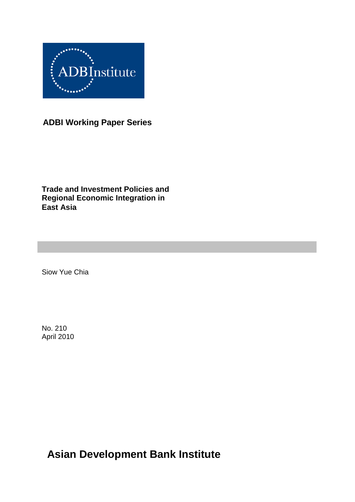

**ADBI Working Paper Series**

**Trade and Investment Policies and Regional Economic Integration in East Asia**

Siow Yue Chia

No. 210 April 2010

**Asian Development Bank Institute**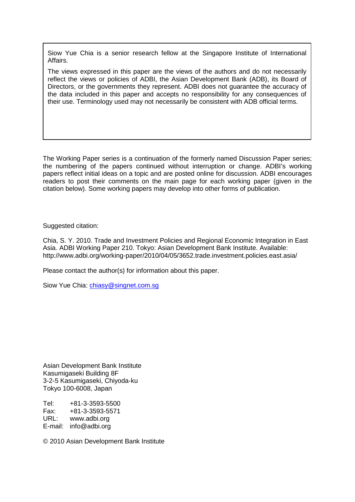Siow Yue Chia is a senior research fellow at the Singapore Institute of International Affairs.

The views expressed in this paper are the views of the authors and do not necessarily reflect the views or policies of ADBI, the Asian Development Bank (ADB), its Board of Directors, or the governments they represent. ADBI does not guarantee the accuracy of the data included in this paper and accepts no responsibility for any consequences of their use. Terminology used may not necessarily be consistent with ADB official terms.

The Working Paper series is a continuation of the formerly named Discussion Paper series; the numbering of the papers continued without interruption or change. ADBI's working papers reflect initial ideas on a topic and are posted online for discussion. ADBI encourages readers to post their comments on the main page for each working paper (given in the citation below). Some working papers may develop into other forms of publication.

Suggested citation:

Chia, S. Y. 2010. Trade and Investment Policies and Regional Economic Integration in East Asia. ADBI Working Paper 210. Tokyo: Asian Development Bank Institute. Available: http://www.adbi.org/working-paper/2010/04/05/3652.trade.investment.policies.east.asia/

Please contact the author(s) for information about this paper.

Siow Yue Chia: chiasy@singnet.com.sq

Asian Development Bank Institute Kasumigaseki Building 8F 3-2-5 Kasumigaseki, Chiyoda-ku Tokyo 100-6008, Japan

Tel: +81-3-3593-5500 Fax: +81-3-3593-5571 www.adbi.org E-mail: info@adbi.org

© 2010 Asian Development Bank Institute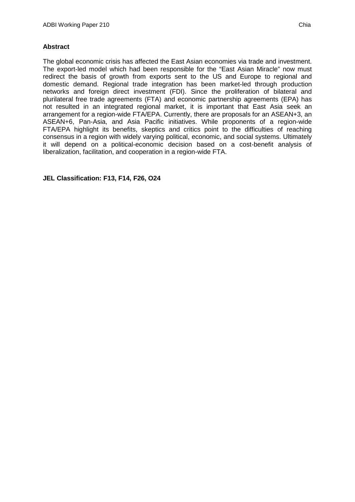#### **Abstract**

The global economic crisis has affected the East Asian economies via trade and investment. The export-led model which had been responsible for the "East Asian Miracle" now must redirect the basis of growth from exports sent to the US and Europe to regional and domestic demand. Regional trade integration has been market-led through production networks and foreign direct investment (FDI). Since the proliferation of bilateral and plurilateral free trade agreements (FTA) and economic partnership agreements (EPA) has not resulted in an integrated regional market, it is important that East Asia seek an arrangement for a region-wide FTA/EPA. Currently, there are proposals for an ASEAN+3, an ASEAN+6, Pan-Asia, and Asia Pacific initiatives. While proponents of a region-wide FTA/EPA highlight its benefits, skeptics and critics point to the difficulties of reaching consensus in a region with widely varying political, economic, and social systems. Ultimately it will depend on a political-economic decision based on a cost-benefit analysis of liberalization, facilitation, and cooperation in a region-wide FTA.

**JEL Classification: F13, F14, F26, O24**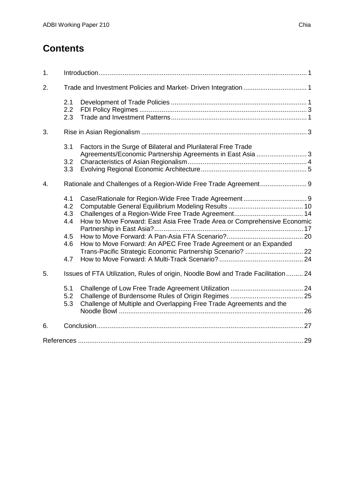# **Contents**

| 1. |                                               |                                                                                                                                              |  |
|----|-----------------------------------------------|----------------------------------------------------------------------------------------------------------------------------------------------|--|
| 2. |                                               |                                                                                                                                              |  |
|    | 2.1<br>2.2<br>2.3                             |                                                                                                                                              |  |
| 3. |                                               |                                                                                                                                              |  |
|    | 3.1<br>3.2<br>3.3                             | Factors in the Surge of Bilateral and Plurilateral Free Trade<br>Agreements/Economic Partnership Agreements in East Asia  3                  |  |
| 4. |                                               |                                                                                                                                              |  |
|    | 4.1<br>4.2<br>4.3<br>4.4<br>4.5<br>4.6<br>4.7 | How to Move Forward: East Asia Free Trade Area or Comprehensive Economic<br>How to Move Forward: An APEC Free Trade Agreement or an Expanded |  |
| 5. |                                               | Issues of FTA Utilization, Rules of origin, Noodle Bowl and Trade Facilitation  24                                                           |  |
|    | 5.1<br>5.2<br>5.3                             | Challenge of Multiple and Overlapping Free Trade Agreements and the                                                                          |  |
| 6. |                                               |                                                                                                                                              |  |
|    |                                               |                                                                                                                                              |  |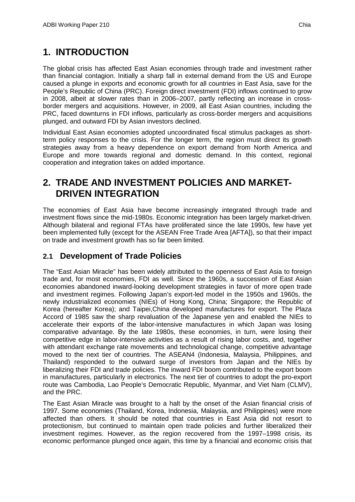# <span id="page-4-0"></span>**1. INTRODUCTION**

The global crisis has affected East Asian economies through trade and investment rather than financial contagion. Initially a sharp fall in external demand from the US and Europe caused a plunge in exports and economic growth for all countries in East Asia, save for the People's Republic of China (PRC). Foreign direct investment (FDI) inflows continued to grow in 2008, albeit at slower rates than in 2006–2007, partly reflecting an increase in crossborder mergers and acquisitions. However, in 2009, all East Asian countries, including the PRC, faced downturns in FDI inflows, particularly as cross-border mergers and acquisitions plunged, and outward FDI by Asian investors declined.

Individual East Asian economies adopted uncoordinated fiscal stimulus packages as shortterm policy responses to the crisis. For the longer term, the region must direct its growth strategies away from a heavy dependence on export demand from North America and Europe and more towards regional and domestic demand. In this context, regional cooperation and integration takes on added importance.

# <span id="page-4-1"></span>**2. TRADE AND INVESTMENT POLICIES AND MARKET-DRIVEN INTEGRATION**

The economies of East Asia have become increasingly integrated through trade and investment flows since the mid-1980s. Economic integration has been largely market-driven. Although bilateral and regional FTAs have proliferated since the late 1990s, few have yet been implemented fully (except for the ASEAN Free Trade Area [AFTA]), so that their impact on trade and investment growth has so far been limited.

## <span id="page-4-2"></span>**2.1 Development of Trade Policies**

The "East Asian Miracle" has been widely attributed to the openness of East Asia to foreign trade and, for most economies, FDI as well. Since the 1960s, a succession of East Asian economies abandoned inward-looking development strategies in favor of more open trade and investment regimes. Following Japan's export-led model in the 1950s and 1960s, the newly industrialized economies (NIEs) of Hong Kong, China; Singapore; the Republic of Korea (hereafter Korea); and Taipei,China developed manufactures for export. The Plaza Accord of 1985 saw the sharp revaluation of the Japanese yen and enabled the NIEs to accelerate their exports of the labor-intensive manufactures in which Japan was losing comparative advantage. By the late 1980s, these economies, in turn, were losing their competitive edge in labor-intensive activities as a result of rising labor costs, and, together with attendant exchange rate movements and technological change, competitive advantage moved to the next tier of countries. The ASEAN4 (Indonesia, Malaysia, Philippines, and Thailand) responded to the outward surge of investors from Japan and the NIEs by liberalizing their FDI and trade policies. The inward FDI boom contributed to the export boom in manufactures, particularly in electronics. The next tier of countries to adopt the pro-export route was Cambodia, Lao People's Democratic Republic, Myanmar, and Viet Nam (CLMV), and the PRC.

The East Asian Miracle was brought to a halt by the onset of the Asian financial crisis of 1997. Some economies (Thailand, Korea, Indonesia, Malaysia, and Philippines) were more affected than others. It should be noted that countries in East Asia did not resort to protectionism, but continued to maintain open trade policies and further liberalized their investment regimes. However, as the region recovered from the 1997–1998 crisis, its economic performance plunged once again, this time by a financial and economic crisis that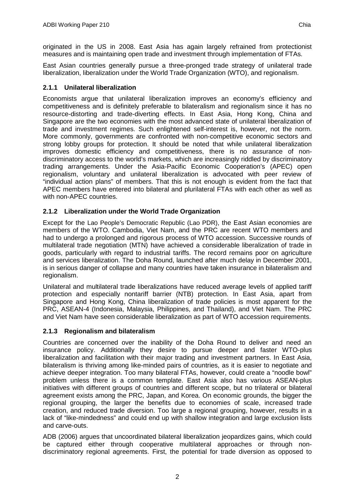originated in the US in 2008. East Asia has again largely refrained from protectionist measures and is maintaining open trade and investment through implementation of FTAs.

East Asian countries generally pursue a three-pronged trade strategy of unilateral trade liberalization, liberalization under the World Trade Organization (WTO), and regionalism.

#### **2.1.1 Unilateral liberalization**

Economists argue that unilateral liberalization improves an economy's efficiency and competitiveness and is definitely preferable to bilateralism and regionalism since it has no resource-distorting and trade-diverting effects. In East Asia, Hong Kong, China and Singapore are the two economies with the most advanced state of unilateral liberalization of trade and investment regimes. Such enlightened self-interest is, however, not the norm. More commonly, governments are confronted with non-competitive economic sectors and strong lobby groups for protection. It should be noted that while unilateral liberalization improves domestic efficiency and competitiveness, there is no assurance of nondiscriminatory access to the world's markets, which are increasingly riddled by discriminatory trading arrangements. Under the Asia-Pacific Economic Cooperation's (APEC) open regionalism, voluntary and unilateral liberalization is advocated with peer review of "individual action plans" of members. That this is not enough is evident from the fact that APEC members have entered into bilateral and plurilateral FTAs with each other as well as with non-APEC countries.

### **2.1.2 Liberalization under the World Trade Organization**

Except for the Lao People's Democratic Republic (Lao PDR), the East Asian economies are members of the WTO. Cambodia, Viet Nam, and the PRC are recent WTO members and had to undergo a prolonged and rigorous process of WTO accession. Successive rounds of multilateral trade negotiation (MTN) have achieved a considerable liberalization of trade in goods, particularly with regard to industrial tariffs. The record remains poor on agriculture and services liberalization. The Doha Round, launched after much delay in December 2001, is in serious danger of collapse and many countries have taken insurance in bilateralism and regionalism.

Unilateral and multilateral trade liberalizations have reduced average levels of applied tariff protection and especially nontariff barrier (NTB) protection. In East Asia, apart from Singapore and Hong Kong, China liberalization of trade policies is most apparent for the PRC, ASEAN-4 (Indonesia, Malaysia, Philippines, and Thailand), and Viet Nam. The PRC and Viet Nam have seen considerable liberalization as part of WTO accession requirements.

#### **2.1.3 Regionalism and bilateralism**

Countries are concerned over the inability of the Doha Round to deliver and need an insurance policy. Additionally they desire to pursue deeper and faster WTO-plus liberalization and facilitation with their major trading and investment partners. In East Asia, bilateralism is thriving among like-minded pairs of countries, as it is easier to negotiate and achieve deeper integration. Too many bilateral FTAs, however, could create a "noodle bowl" problem unless there is a common template. East Asia also has various ASEAN-plus initiatives with different groups of countries and different scope, but no trilateral or bilateral agreement exists among the PRC, Japan, and Korea. On economic grounds, the bigger the regional grouping, the larger the benefits due to economies of scale, increased trade creation, and reduced trade diversion. Too large a regional grouping, however, results in a lack of "like-mindedness" and could end up with shallow integration and large exclusion lists and carve-outs.

ADB (2006) argues that uncoordinated bilateral liberalization jeopardizes gains, which could be captured either through cooperative multilateral approaches or through nondiscriminatory regional agreements. First, the potential for trade diversion as opposed to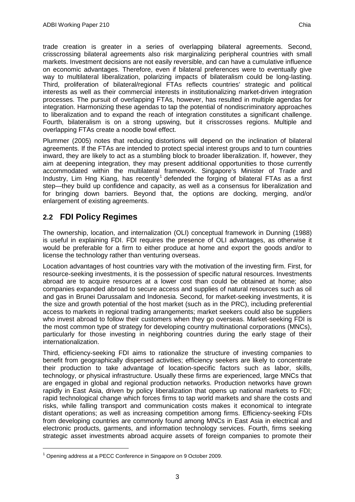trade creation is greater in a series of overlapping bilateral agreements. Second, crisscrossing bilateral agreements also risk marginalizing peripheral countries with small markets. Investment decisions are not easily reversible, and can have a cumulative influence on economic advantages. Therefore, even if bilateral preferences were to eventually give way to multilateral liberalization, polarizing impacts of bilateralism could be long-lasting. Third, proliferation of bilateral/regional FTAs reflects countries' strategic and political interests as well as their commercial interests in institutionalizing market-driven integration processes. The pursuit of overlapping FTAs, however, has resulted in multiple agendas for integration. Harmonizing these agendas to tap the potential of nondiscriminatory approaches to liberalization and to expand the reach of integration constitutes a significant challenge. Fourth, bilateralism is on a strong upswing, but it crisscrosses regions. Multiple and overlapping FTAs create a noodle bowl effect.

Plummer (2005) notes that reducing distortions will depend on the inclination of bilateral agreements. If the FTAs are intended to protect special interest groups and to turn countries inward, they are likely to act as a stumbling block to broader liberalization. If, however, they aim at deepening integration, they may present additional opportunities to those currently accommodated within the multilateral framework. Singapore's Minister of Trade and Industry, Lim Hng Kiang, has recently<sup>[1](#page-6-1)</sup> defended the forging of bilateral FTAs as a first step—they build up confidence and capacity, as well as a consensus for liberalization and for bringing down barriers. Beyond that, the options are docking, merging, and/or enlargement of existing agreements.

## <span id="page-6-0"></span>**2.2 FDI Policy Regimes**

The ownership, location, and internalization (OLI) conceptual framework in Dunning (1988) is useful in explaining FDI. FDI requires the presence of OLI advantages, as otherwise it would be preferable for a firm to either produce at home and export the goods and/or to license the technology rather than venturing overseas.

Location advantages of host countries vary with the motivation of the investing firm. First, for resource-seeking investments, it is the possession of specific natural resources. Investments abroad are to acquire resources at a lower cost than could be obtained at home; also companies expanded abroad to secure access and supplies of natural resources such as oil and gas in Brunei Darussalam and Indonesia. Second, for market-seeking investments, it is the size and growth potential of the host market (such as in the PRC), including preferential access to markets in regional trading arrangements; market seekers could also be suppliers who invest abroad to follow their customers when they go overseas. Market-seeking FDI is the most common type of strategy for developing country multinational corporations (MNCs), particularly for those investing in neighboring countries during the early stage of their internationalization.

Third, efficiency-seeking FDI aims to rationalize the structure of investing companies to benefit from geographically dispersed activities; efficiency seekers are likely to concentrate their production to take advantage of location-specific factors such as labor, skills, technology, or physical infrastructure. Usually these firms are experienced, large MNCs that are engaged in global and regional production networks. Production networks have grown rapidly in East Asia, driven by policy liberalization that opens up national markets to FDI; rapid technological change which forces firms to tap world markets and share the costs and risks, while falling transport and communication costs makes it economical to integrate distant operations; as well as increasing competition among firms. Efficiency-seeking FDIs from developing countries are commonly found among MNCs in East Asia in electrical and electronic products, garments, and information technology services. Fourth, firms seeking strategic asset investments abroad acquire assets of foreign companies to promote their

<span id="page-6-1"></span> $1$  Opening address at a PECC Conference in Singapore on 9 October 2009.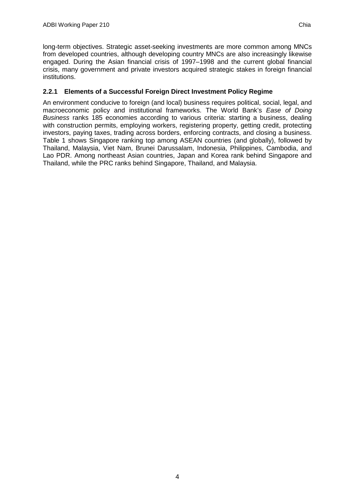long-term objectives. Strategic asset-seeking investments are more common among MNCs from developed countries, although developing country MNCs are also increasingly likewise engaged. During the Asian financial crisis of 1997–1998 and the current global financial crisis, many government and private investors acquired strategic stakes in foreign financial institutions.

### **2.2.1 Elements of a Successful Foreign Direct Investment Policy Regime**

An environment conducive to foreign (and local) business requires political, social, legal, and macroeconomic policy and institutional frameworks. The World Bank's *Ease of Doing Business* ranks 185 economies according to various criteria: starting a business, dealing with construction permits, employing workers, registering property, getting credit, protecting investors, paying taxes, trading across borders, enforcing contracts, and closing a business. Table 1 shows Singapore ranking top among ASEAN countries (and globally), followed by Thailand, Malaysia, Viet Nam, Brunei Darussalam, Indonesia, Philippines, Cambodia, and Lao PDR. Among northeast Asian countries, Japan and Korea rank behind Singapore and Thailand, while the PRC ranks behind Singapore, Thailand, and Malaysia.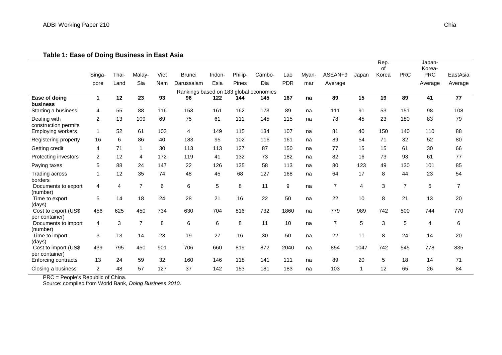#### **Table 1: Ease of Doing Business in East Asia**

|                                        | Singa-         | Thai- | Malay-         | Viet            | Brunei                                 | Indon- | Philip- | Cambo- | Lao        | Myan- | ASEAN+9        | Japan | Rep.<br>0f<br>Korea | <b>PRC</b>     | Japan-<br>Korea-<br><b>PRC</b> | EastAsia       |
|----------------------------------------|----------------|-------|----------------|-----------------|----------------------------------------|--------|---------|--------|------------|-------|----------------|-------|---------------------|----------------|--------------------------------|----------------|
|                                        | pore           | Land  | Sia            | Nam             | Darussalam                             | Esia   | Pines   | Dia    | <b>PDR</b> | mar   | Average        |       |                     |                | Average                        | Average        |
|                                        |                |       |                |                 | Rankings based on 183 global economies |        |         |        |            |       |                |       |                     |                |                                |                |
| Ease of doing<br>business              | $\mathbf 1$    | 12    | 23             | $\overline{93}$ | 96                                     | 122    | 144     | 145    | 167        | na    | 89             | 15    | $\overline{19}$     | 89             | $\overline{41}$                | 77             |
| Starting a business                    | 4              | 55    | 88             | 116             | 153                                    | 161    | 162     | 173    | 89         | na    | 111            | 91    | 53                  | 151            | 98                             | 108            |
| Dealing with<br>construction permits   | 2              | 13    | 109            | 69              | 75                                     | 61     | 111     | 145    | 115        | na    | 78             | 45    | 23                  | 180            | 83                             | 79             |
| <b>Employing workers</b>               |                | 52    | 61             | 103             | 4                                      | 149    | 115     | 134    | 107        | na    | 81             | 40    | 150                 | 140            | 110                            | 88             |
| Registering property                   | 16             | 6     | 86             | 40              | 183                                    | 95     | 102     | 116    | 161        | na    | 89             | 54    | 71                  | 32             | 52                             | 80             |
| Getting credit                         | 4              | 71    | $\mathbf 1$    | 30              | 113                                    | 113    | 127     | 87     | 150        | na    | 77             | 15    | 15                  | 61             | 30                             | 66             |
| Protecting investors                   | $\overline{2}$ | 12    | 4              | 172             | 119                                    | 41     | 132     | 73     | 182        | na    | 82             | 16    | 73                  | 93             | 61                             | 77             |
| Paying taxes                           | 5              | 88    | 24             | 147             | 22                                     | 126    | 135     | 58     | 113        | na    | 80             | 123   | 49                  | 130            | 101                            | 85             |
| Trading across<br>borders              |                | 12    | 35             | 74              | 48                                     | 45     | 68      | 127    | 168        | na    | 64             | 17    | 8                   | 44             | 23                             | 54             |
| Documents to export<br>(number)        | 4              | 4     | $\overline{7}$ | 6               | 6                                      | 5      | 8       | 11     | 9          | na    | $\overline{7}$ | 4     | 3                   | $\overline{7}$ | 5                              | $\overline{7}$ |
| Time to export<br>(days)               | 5              | 14    | 18             | 24              | 28                                     | 21     | 16      | 22     | 50         | na    | 22             | 10    | 8                   | 21             | 13                             | 20             |
| Cost to export (US\$<br>per container) | 456            | 625   | 450            | 734             | 630                                    | 704    | 816     | 732    | 1860       | na    | 779            | 989   | 742                 | 500            | 744                            | 770            |
| Documents to import<br>(number)        | 4              | 3     | $\overline{7}$ | 8               | 6                                      | 6      | 8       | 11     | 10         | na    | $\overline{7}$ | 5     | 3                   | 5              | 4                              | 6              |
| Time to import<br>(days)               | 3              | 13    | 14             | 23              | 19                                     | 27     | 16      | 30     | 50         | na    | 22             | 11    | 8                   | 24             | 14                             | 20             |
| Cost to import (US\$<br>per container) | 439            | 795   | 450            | 901             | 706                                    | 660    | 819     | 872    | 2040       | na    | 854            | 1047  | 742                 | 545            | 778                            | 835            |
| Enforcing contracts                    | 13             | 24    | 59             | 32              | 160                                    | 146    | 118     | 141    | 111        | na    | 89             | 20    | 5                   | 18             | 14                             | 71             |
| Closing a business                     | $\overline{2}$ | 48    | 57             | 127             | 37                                     | 142    | 153     | 181    | 183        | na    | 103            | 1     | 12                  | 65             | 26                             | 84             |

PRC = People's Republic of China.

Source: compiled from World Bank, *Doing Business 2010*.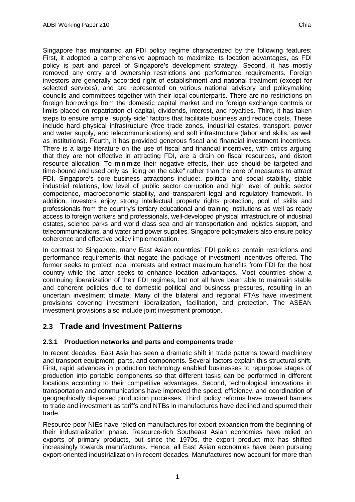Singapore has maintained an FDI policy regime characterized by the following features: First, it adopted a comprehensive approach to maximize its location advantages, as FDI policy is part and parcel of Singapore's development strategy. Second, it has mostly removed any entry and ownership restrictions and performance requirements. Foreign investors are generally accorded right of establishment and national treatment (except for selected services), and are represented on various national advisory and policymaking councils and committees together with their local counterparts. There are no restrictions on foreign borrowings from the domestic capital market and no foreign exchange controls or limits placed on repatriation of capital, dividends, interest, and royalties. Third, it has taken steps to ensure ample "supply side" factors that facilitate business and reduce costs. These include hard physical infrastructure (free trade zones, industrial estates, transport, power and water supply, and telecommunications) and soft infrastructure (labor and skills, as well as institutions). Fourth, it has provided generous fiscal and financial investment incentives. There is a large literature on the use of fiscal and financial incentives, with critics arguing that they are not effective in attracting FDI, are a drain on fiscal resources, and distort resource allocation. To minimize their negative effects, their use should be targeted and time-bound and used only as "icing on the cake" rather than the core of measures to attract FDI. Singapore's core business attractions include:, political and social stability, stable industrial relations, low level of public sector corruption and high level of public sector competence, macroeconomic stability, and transparent legal and regulatory framework. In addition, investors enjoy strong intellectual property rights protection, pool of skills and professionals from the country's tertiary educational and training institutions as well as ready access to foreign workers and professionals, well-developed physical infrastructure of industrial estates, science parks and world class sea and air transportation and logistics support, and telecommunications, and water and power supplies. Singapore policymakers also ensure policy coherence and effective policy implementation.

In contrast to Singapore, many East Asian countries' FDI policies contain restrictions and performance requirements that negate the package of investment incentives offered. The former seeks to protect local interests and extract maximum benefits from FDI for the host country while the latter seeks to enhance location advantages. Most countries show a continuing liberalization of their FDI regimes, but not all have been able to maintain stable and coherent policies due to domestic political and business pressures, resulting in an uncertain investment climate. Many of the bilateral and regional FTAs have investment provisions covering investment liberalization, facilitation, and protection. The ASEAN investment provisions also include joint investment promotion.

## <span id="page-9-0"></span>**2.3 Trade and Investment Patterns**

### **2.3.1 Production networks and parts and components trade**

In recent decades, East Asia has seen a dramatic shift in trade patterns toward machinery and transport equipment, parts, and components. Several factors explain this structural shift. First, rapid advances in production technology enabled businesses to repurpose stages of production into portable components so that different tasks can be performed in different locations according to their competitive advantages. Second, technological innovations in transportation and communications have improved the speed, efficiency, and coordination of geographically dispersed production processes. Third, policy reforms have lowered barriers to trade and investment as tariffs and NTBs in manufactures have declined and spurred their trade.

Resource-poor NIEs have relied on manufactures for export expansion from the beginning of their industrialization phase. Resource-rich Southeast Asian economies have relied on exports of primary products, but since the 1970s, the export product mix has shifted increasingly towards manufactures. Hence, all East Asian economies have been pursuing export-oriented industrialization in recent decades. Manufactures now account for more than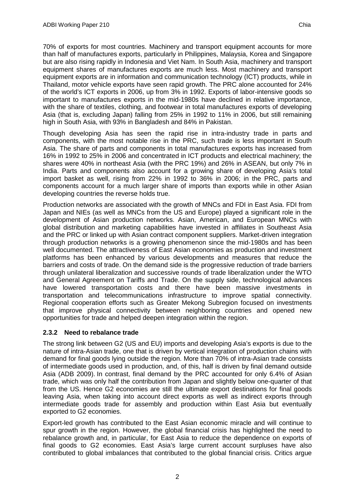70% of exports for most countries. Machinery and transport equipment accounts for more than half of manufactures exports, particularly in Philippines, Malaysia, Korea and Singapore but are also rising rapidly in Indonesia and Viet Nam. In South Asia, machinery and transport equipment shares of manufactures exports are much less. Most machinery and transport equipment exports are in information and communication technology (ICT) products, while in Thailand, motor vehicle exports have seen rapid growth. The PRC alone accounted for 24% of the world's ICT exports in 2006, up from 3% in 1992. Exports of labor-intensive goods so important to manufactures exports in the mid-1980s have declined in relative importance, with the share of textiles, clothing, and footwear in total manufactures exports of developing Asia (that is, excluding Japan) falling from 25% in 1992 to 11% in 2006, but still remaining high in South Asia, with 93% in Bangladesh and 84% in Pakistan.

Though developing Asia has seen the rapid rise in intra-industry trade in parts and components, with the most notable rise in the PRC, such trade is less important in South Asia. The share of parts and components in total manufactures exports has increased from 16% in 1992 to 25% in 2006 and concentrated in ICT products and electrical machinery; the shares were 40% in northeast Asia (with the PRC 19%) and 26% in ASEAN, but only 7% in India. Parts and components also account for a growing share of developing Asia's total import basket as well, rising from 22% in 1992 to 36% in 2006; in the PRC, parts and components account for a much larger share of imports than exports while in other Asian developing countries the reverse holds true.

Production networks are associated with the growth of MNCs and FDI in East Asia. FDI from Japan and NIEs (as well as MNCs from the US and Europe) played a significant role in the development of Asian production networks. Asian, American, and European MNCs with global distribution and marketing capabilities have invested in affiliates in Southeast Asia and the PRC or linked up with Asian contract component suppliers. Market-driven integration through production networks is a growing phenomenon since the mid-1980s and has been well documented. The attractiveness of East Asian economies as production and investment platforms has been enhanced by various developments and measures that reduce the barriers and costs of trade. On the demand side is the progressive reduction of trade barriers through unilateral liberalization and successive rounds of trade liberalization under the WTO and General Agreement on Tariffs and Trade. On the supply side, technological advances have lowered transportation costs and there have been massive investments in transportation and telecommunications infrastructure to improve spatial connectivity. Regional cooperation efforts such as Greater Mekong Subregion focused on investments that improve physical connectivity between neighboring countries and opened new opportunities for trade and helped deepen integration within the region.

#### **2.3.2 Need to rebalance trade**

The strong link between G2 (US and EU) imports and developing Asia's exports is due to the nature of intra-Asian trade, one that is driven by vertical integration of production chains with demand for final goods lying outside the region. More than 70% of intra-Asian trade consists of intermediate goods used in production, and, of this, half is driven by final demand outside Asia (ADB 2009). In contrast, final demand by the PRC accounted for only 6.4% of Asian trade, which was only half the contribution from Japan and slightly below one-quarter of that from the US. Hence G2 economies are still the ultimate export destinations for final goods leaving Asia, when taking into account direct exports as well as indirect exports through intermediate goods trade for assembly and production within East Asia but eventually exported to G2 economies.

Export-led growth has contributed to the East Asian economic miracle and will continue to spur growth in the region. However, the global financial crisis has highlighted the need to rebalance growth and, in particular, for East Asia to reduce the dependence on exports of final goods to G2 economies. East Asia's large current account surpluses have also contributed to global imbalances that contributed to the global financial crisis. Critics argue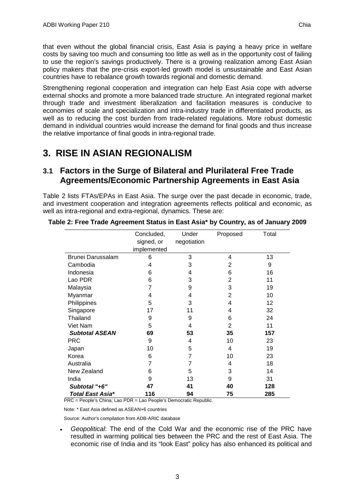that even without the global financial crisis, East Asia is paying a heavy price in welfare costs by saving too much and consuming too little as well as in the opportunity cost of failing to use the region's savings productively. There is a growing realization among East Asian policy makers that the pre-crisis export-led growth model is unsustainable and East Asian countries have to rebalance growth towards regional and domestic demand.

Strengthening regional cooperation and integration can help East Asia cope with adverse external shocks and promote a more balanced trade structure. An integrated regional market through trade and investment liberalization and facilitation measures is conducive to economies of scale and specialization and intra-industry trade in differentiated products, as well as to reducing the cost burden from trade-related regulations. More robust domestic demand in individual countries would increase the demand for final goods and thus increase the relative importance of final goods in intra-regional trade.

# <span id="page-11-0"></span>**3. RISE IN ASIAN REGIONALISM**

## <span id="page-11-1"></span>**3.1 Factors in the Surge of Bilateral and Plurilateral Free Trade Agreements/Economic Partnership Agreements in East Asia**

Table 2 lists FTAs/EPAs in East Asia. The surge over the past decade in economic, trade, and investment cooperation and integration agreements reflects political and economic, as well as intra-regional and extra-regional, dynamics. These are:

|                       | Concluded,<br>signed, or<br>implemented | Under<br>negotiation | Proposed       | Total |
|-----------------------|-----------------------------------------|----------------------|----------------|-------|
| Brunei Darussalam     | 6                                       | 3                    | 4              | 13    |
| Cambodia              | 4                                       | 3                    | 2              | 9     |
| Indonesia             | 6                                       | 4                    | 6              | 16    |
| Lao PDR               | 6                                       | 3                    | $\overline{2}$ | 11    |
| Malaysia              | 7                                       | 9                    | 3              | 19    |
| Myanmar               | 4                                       | 4                    | 2              | 10    |
| Philippines           | 5                                       | 3                    | 4              | 12    |
| Singapore             | 17                                      | 11                   | 4              | 32    |
| Thailand              | 9                                       | 9                    | 6              | 24    |
| Viet Nam              | 5                                       | 4                    | $\overline{2}$ | 11    |
| <b>Subtotal ASEAN</b> | 69                                      | 53                   | 35             | 157   |
| <b>PRC</b>            | 9                                       | 4                    | 10             | 23    |
| Japan                 | 10                                      | 5                    | 4              | 19    |
| Korea                 | 6                                       | 7                    | 10             | 23    |
| Australia             | 7                                       | 7                    | 4              | 18    |
| New Zealand           | 6                                       | 5                    | 3              | 14    |
| India                 | 9                                       | 13                   | 9              | 31    |
| Subtotal "+6"         | 47                                      | 41                   | 40             | 128   |
| Total East Asia*      | 116                                     | 94                   | 75             | 285   |

**Table 2: Free Trade Agreement Status in East Asia\* by Country, as of January 2009**

PRC = People's China; Lao PDR = Lao People's Democratic Republic.

Note: \* East Asia defined as ASEAN+6 countries

Source: Author's compilation from ADB-ARIC database

• *Geopolitical*: The end of the Cold War and the economic rise of the PRC have resulted in warming political ties between the PRC and the rest of East Asia. The economic rise of India and its "look East" policy has also enhanced its political and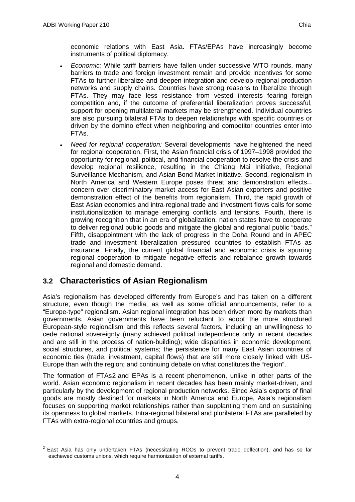economic relations with East Asia. FTAs/EPAs have increasingly become instruments of political diplomacy.

- *Economic:* While tariff barriers have fallen under successive WTO rounds, many barriers to trade and foreign investment remain and provide incentives for some FTAs to further liberalize and deepen integration and develop regional production networks and supply chains. Countries have strong reasons to liberalize through FTAs. They may face less resistance from vested interests fearing foreign competition and, if the outcome of preferential liberalization proves successful, support for opening multilateral markets may be strengthened. Individual countries are also pursuing bilateral FTAs to deepen relationships with specific countries or driven by the domino effect when neighboring and competitor countries enter into FTAs.
- *Need for regional cooperation:* Several developments have heightened the need for regional cooperation. First, the Asian financial crisis of 1997–1998 provided the opportunity for regional, political, and financial cooperation to resolve the crisis and develop regional resilience, resulting in the Chiang Mai Initiative, Regional Surveillance Mechanism, and Asian Bond Market Initiative. Second, regionalism in North America and Western Europe poses threat and demonstration effects concern over discriminatory market access for East Asian exporters and positive demonstration effect of the benefits from regionalism. Third, the rapid growth of East Asian economies and intra-regional trade and investment flows calls for some institutionalization to manage emerging conflicts and tensions. Fourth, there is growing recognition that in an era of globalization, nation states have to cooperate to deliver regional public goods and mitigate the global and regional public "bads." Fifth, disappointment with the lack of progress in the Doha Round and in APEC trade and investment liberalization pressured countries to establish FTAs as insurance. Finally, the current global financial and economic crisis is spurring regional cooperation to mitigate negative effects and rebalance growth towards regional and domestic demand.

## <span id="page-12-0"></span>**3.2 Characteristics of Asian Regionalism**

Asia's regionalism has developed differently from Europe's and has taken on a different structure, even though the media, as well as some official announcements, refer to a "Europe-type" regionalism. Asian regional integration has been driven more by markets than governments. Asian governments have been reluctant to adopt the more structured European-style regionalism and this reflects several factors, including an unwillingness to cede national sovereignty (many achieved political independence only in recent decades and are still in the process of nation-building); wide disparities in economic development, social structures, and political systems; the persistence for many East Asian countries of economic ties (trade, investment, capital flows) that are still more closely linked with US-Europe than with the region; and continuing debate on what constitutes the "region".

The formation of FTAs[2](#page-12-1) and EPAs is a recent phenomenon, unlike in other parts of the world. Asian economic regionalism in recent decades has been mainly market-driven, and particularly by the development of regional production networks. Since Asia's exports of final goods are mostly destined for markets in North America and Europe, Asia's regionalism focuses on supporting market relationships rather than supplanting them and on sustaining its openness to global markets. Intra-regional bilateral and plurilateral FTAs are paralleled by FTAs with extra-regional countries and groups.

<span id="page-12-1"></span> $2$  East Asia has only undertaken FTAs (necessitating ROOs to prevent trade deflection), and has so far eschewed customs unions, which require harmonization of external tariffs.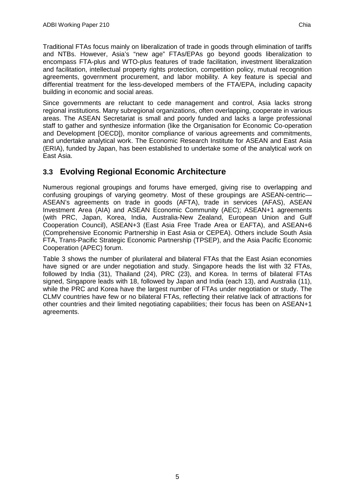Traditional FTAs focus mainly on liberalization of trade in goods through elimination of tariffs and NTBs. However, Asia's "new age" FTAs/EPAs go beyond goods liberalization to encompass FTA-plus and WTO-plus features of trade facilitation, investment liberalization and facilitation, intellectual property rights protection, competition policy, mutual recognition agreements, government procurement, and labor mobility. A key feature is special and differential treatment for the less-developed members of the FTA/EPA, including capacity building in economic and social areas.

Since governments are reluctant to cede management and control, Asia lacks strong regional institutions. Many subregional organizations, often overlapping, cooperate in various areas. The ASEAN Secretariat is small and poorly funded and lacks a large professional staff to gather and synthesize information (like the Organisation for Economic Co-operation and Development [OECD]), monitor compliance of various agreements and commitments, and undertake analytical work. The Economic Research Institute for ASEAN and East Asia (ERIA), funded by Japan, has been established to undertake some of the analytical work on East Asia.

## <span id="page-13-0"></span>**3.3 Evolving Regional Economic Architecture**

Numerous regional groupings and forums have emerged, giving rise to overlapping and confusing groupings of varying geometry. Most of these groupings are ASEAN-centric— ASEAN's agreements on trade in goods (AFTA), trade in services (AFAS), ASEAN Investment Area (AIA) and ASEAN Economic Community (AEC); ASEAN+1 agreements (with PRC, Japan, Korea, India, Australia-New Zealand, European Union and Gulf Cooperation Council), ASEAN+3 (East Asia Free Trade Area or EAFTA), and ASEAN+6 (Comprehensive Economic Partnership in East Asia or CEPEA). Others include South Asia FTA, Trans-Pacific Strategic Economic Partnership (TPSEP), and the Asia Pacific Economic Cooperation (APEC) forum.

Table 3 shows the number of plurilateral and bilateral FTAs that the East Asian economies have signed or are under negotiation and study. Singapore heads the list with 32 FTAs, followed by India (31), Thailand (24), PRC (23), and Korea. In terms of bilateral FTAs signed, Singapore leads with 18, followed by Japan and India (each 13), and Australia (11), while the PRC and Korea have the largest number of FTAs under negotiation or study. The CLMV countries have few or no bilateral FTAs, reflecting their relative lack of attractions for other countries and their limited negotiating capabilities; their focus has been on ASEAN+1 agreements.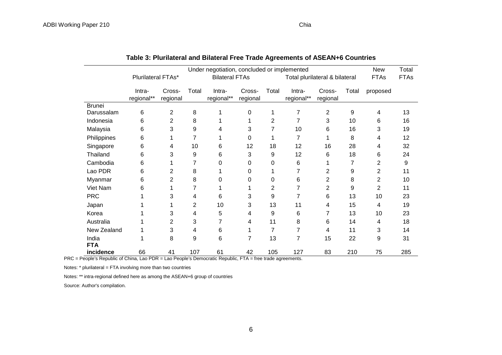|                     | Under negotiation, concluded or implemented |                    |       |                       |                    |       |                                |                    | New         | Total          |     |
|---------------------|---------------------------------------------|--------------------|-------|-----------------------|--------------------|-------|--------------------------------|--------------------|-------------|----------------|-----|
|                     | Plurilateral FTAs*                          |                    |       | <b>Bilateral FTAs</b> |                    |       | Total plurilateral & bilateral |                    | <b>FTAs</b> | <b>FTAs</b>    |     |
|                     | Intra-<br>regional**                        | Cross-<br>regional | Total | Intra-<br>regional**  | Cross-<br>regional | Total | Intra-<br>regional**           | Cross-<br>regional | Total       | proposed       |     |
| <b>Brunei</b>       |                                             |                    |       |                       |                    |       |                                |                    |             |                |     |
| Darussalam          | 6                                           | 2                  | 8     | 1                     | 0                  |       | 7                              | $\overline{2}$     | 9           | 4              | 13  |
| Indonesia           | 6                                           | $\overline{2}$     | 8     |                       |                    | 2     | 7                              | 3                  | 10          | 6              | 16  |
| Malaysia            | 6                                           | 3                  | 9     | 4                     | 3                  | 7     | 10                             | 6                  | 16          | 3              | 19  |
| Philippines         | 6                                           |                    | 7     |                       | 0                  |       | 7                              |                    | 8           | 4              | 12  |
| Singapore           | 6                                           | 4                  | 10    | 6                     | 12                 | 18    | 12                             | 16                 | 28          | 4              | 32  |
| Thailand            | 6                                           | 3                  | 9     | 6                     | 3                  | 9     | 12                             | 6                  | 18          | 6              | 24  |
| Cambodia            | 6                                           |                    |       | 0                     | 0                  | 0     | 6                              |                    | 7           | $\overline{2}$ | 9   |
| Lao PDR             | 6                                           | 2                  | 8     |                       | 0                  |       | 7                              | 2                  | 9           | 2              | 11  |
| Myanmar             | 6                                           | 2                  | 8     | 0                     | 0                  | 0     | 6                              | 2                  | 8           | 2              | 10  |
| Viet Nam            | 6                                           |                    |       |                       |                    | 2     | 7                              | 2                  | 9           | $\overline{2}$ | 11  |
| <b>PRC</b>          |                                             | 3                  | 4     | 6                     | 3                  | 9     | 7                              | 6                  | 13          | 10             | 23  |
| Japan               |                                             |                    | 2     | 10                    | 3                  | 13    | 11                             | 4                  | 15          | 4              | 19  |
| Korea               |                                             | 3                  | 4     | 5                     | 4                  | 9     | 6                              | 7                  | 13          | 10             | 23  |
| Australia           |                                             | 2                  | 3     | 7                     | 4                  | 11    | 8                              | 6                  | 14          | 4              | 18  |
| New Zealand         |                                             | 3                  | 4     | 6                     |                    | 7     | 7                              | 4                  | 11          | 3              | 14  |
| India<br><b>FTA</b> |                                             | 8                  | 9     | 6                     | 7                  | 13    | 7                              | 15                 | 22          | 9              | 31  |
| incidence           | 66                                          | 41                 | 107   | 61                    | 42                 | 105   | 127                            | 83                 | 210         | 75             | 285 |

PRC = People's Republic of China, Lao PDR = Lao People's Democratic Republic, FTA = free trade agreements.

Notes: \* plurilateral = FTA involving more than two countries

Notes: \*\* intra-regional defined here as among the ASEAN+6 group of countries

Source: Author's compilation.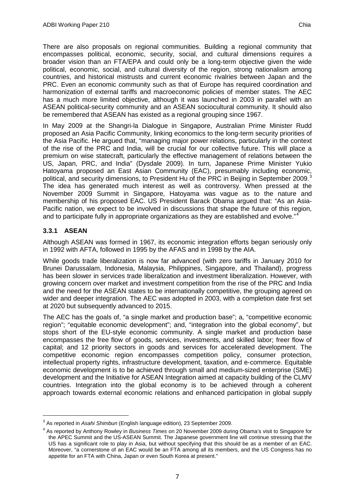There are also proposals on regional communities. Building a regional community that encompasses political, economic, security, social, and cultural dimensions requires a broader vision than an FTA/EPA and could only be a long-term objective given the wide political, economic, social, and cultural diversity of the region, strong nationalism among countries, and historical mistrusts and current economic rivalries between Japan and the PRC. Even an economic community such as that of Europe has required coordination and harmonization of external tariffs and macroeconomic policies of member states. The AEC has a much more limited objective, although it was launched in 2003 in parallel with an ASEAN political-security community and an ASEAN sociocultural community. It should also be remembered that ASEAN has existed as a regional grouping since 1967.

In May 2009 at the Shangri-la Dialogue in Singapore, Australian Prime Minister Rudd proposed an Asia Pacific Community, linking economics to the long-term security priorities of the Asia Pacific. He argued that, "managing major power relations, particularly in the context of the rise of the PRC and India, will be crucial for our collective future. This will place a premium on wise statecraft, particularly the effective management of relations between the US, Japan, PRC, and India" (Dysdale 2009). In turn, Japanese Prime Minister Yukio Hatoyama proposed an East Asian Community (EAC), presumably including economic, political, and security dimensions, to President Hu of the PRC in Beijing in September 2009. The idea has generated much interest as well as controversy. When pressed at the November 2009 Summit in Singapore, Hatoyama was vague as to the nature and membership of his proposed EAC. US President Barack Obama argued that: "As an Asia-Pacific nation, we expect to be involved in discussions that shape the future of this region, and to participate fully in appropriate organizations as they are established and evolve."[4](#page-15-1)

### **3.3.1 ASEAN**

Although ASEAN was formed in 1967, its economic integration efforts began seriously only in 1992 with AFTA, followed in 1995 by the AFAS and in 1998 by the AIA.

While goods trade liberalization is now far advanced (with zero tariffs in January 2010 for Brunei Darussalam, Indonesia, Malaysia, Philippines, Singapore, and Thailand), progress has been slower in services trade liberalization and investment liberalization. However, with growing concern over market and investment competition from the rise of the PRC and India and the need for the ASEAN states to be internationally competitive, the grouping agreed on wider and deeper integration. The AEC was adopted in 2003, with a completion date first set at 2020 but subsequently advanced to 2015.

The AEC has the goals of, "a single market and production base"; a, "competitive economic region"; "equitable economic development"; and, "integration into the global economy", but stops short of the EU-style economic community. A single market and production base encompasses the free flow of goods, services, investments, and skilled labor; freer flow of capital; and 12 priority sectors in goods and services for accelerated development. The competitive economic region encompasses competition policy, consumer protection, intellectual property rights, infrastructure development, taxation, and e-commerce. Equitable economic development is to be achieved through small and medium-sized enterprise (SME) development and the Initiative for ASEAN Integration aimed at capacity building of the CLMV countries. Integration into the global economy is to be achieved through a coherent approach towards external economic relations and enhanced participation in global supply

<span id="page-15-0"></span> <sup>3</sup> As reported in *Asahi Shimbun* (English language edition), 23 September 2009.

<span id="page-15-1"></span><sup>4</sup> As reported by Anthony Rowley in *Business Times* on 20 November 2009 during Obama's visit to Singapore for the APEC Summit and the US-ASEAN Summit. The Japanese government line will continue stressing that the US has a significant role to play in Asia, but without specifying that this should be as a member of an EAC. Moreover, "a cornerstone of an EAC would be an FTA among all its members, and the US Congress has no appetite for an FTA with China, Japan or even South Korea at present."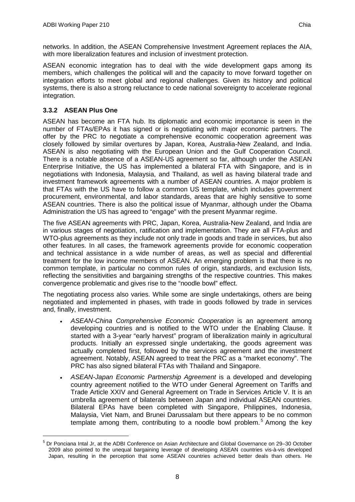networks. In addition, the ASEAN Comprehensive Investment Agreement replaces the AIA, with more liberalization features and inclusion of investment protection.

ASEAN economic integration has to deal with the wide development gaps among its members, which challenges the political will and the capacity to move forward together on integration efforts to meet global and regional challenges. Given its history and political systems, there is also a strong reluctance to cede national sovereignty to accelerate regional integration.

### **3.3.2 ASEAN Plus One**

ASEAN has become an FTA hub. Its diplomatic and economic importance is seen in the number of FTAs/EPAs it has signed or is negotiating with major economic partners. The offer by the PRC to negotiate a comprehensive economic cooperation agreement was closely followed by similar overtures by Japan, Korea, Australia-New Zealand, and India. ASEAN is also negotiating with the European Union and the Gulf Cooperation Council. There is a notable absence of a ASEAN-US agreement so far, although under the ASEAN Enterprise Initiative, the US has implemented a bilateral FTA with Singapore, and is in negotiations with Indonesia, Malaysia, and Thailand, as well as having bilateral trade and investment framework agreements with a number of ASEAN countries. A major problem is that FTAs with the US have to follow a common US template, which includes government procurement, environmental, and labor standards, areas that are highly sensitive to some ASEAN countries. There is also the political issue of Myanmar, although under the Obama Administration the US has agreed to "engage" with the present Myanmar regime.

The five ASEAN agreements with PRC, Japan, Korea, Australia-New Zealand, and India are in various stages of negotiation, ratification and implementation. They are all FTA-plus and WTO-plus agreements as they include not only trade in goods and trade in services, but also other features. In all cases, the framework agreements provide for economic cooperation and technical assistance in a wide number of areas, as well as special and differential treatment for the low income members of ASEAN. An emerging problem is that there is no common template, in particular no common rules of origin, standards, and exclusion lists, reflecting the sensitivities and bargaining strengths of the respective countries. This makes convergence problematic and gives rise to the "noodle bowl" effect.

The negotiating process also varies. While some are single undertakings, others are being negotiated and implemented in phases, with trade in goods followed by trade in services and, finally, investment.

- *ASEAN-China Comprehensive Economic Cooperation* is an agreement among developing countries and is notified to the WTO under the Enabling Clause. It started with a 3-year "early harvest" program of liberalization mainly in agricultural products. Initially an expressed single undertaking, the goods agreement was actually completed first, followed by the services agreement and the investment agreement. Notably, ASEAN agreed to treat the PRC as a "market economy". The PRC has also signed bilateral FTAs with Thailand and Singapore.
- *ASEAN-Japan Economic Partnership Agreement* is a developed and developing country agreement notified to the WTO under General Agreement on Tariffs and Trade Article XXIV and General Agreement on Trade in Services Article V. It is an umbrella agreement of bilaterals between Japan and individual ASEAN countries. Bilateral EPAs have been completed with Singapore, Philippines, Indonesia, Malaysia, Viet Nam, and Brunei Darussalam but there appears to be no common template among them, contributing to a noodle bowl problem.<sup>[5](#page-16-0)</sup> Among the key

<span id="page-16-0"></span> <sup>5</sup> Dr Ponciana Intal Jr, at the ADBI Conference on Asian Architecture and Global Governance on 29–30 October 2009 also pointed to the unequal bargaining leverage of developing ASEAN countries vis-à-vis developed Japan, resulting in the perception that some ASEAN countries achieved better deals than others. He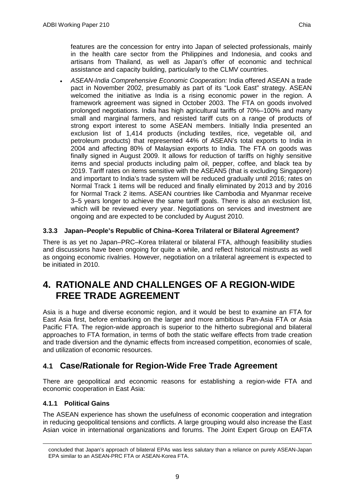features are the concession for entry into Japan of selected professionals, mainly in the health care sector from the Philippines and Indonesia, and cooks and artisans from Thailand, as well as Japan's offer of economic and technical assistance and capacity building, particularly to the CLMV countries.

• *ASEAN-India Comprehensive Economic Cooperation:* India offered ASEAN a trade pact in November 2002, presumably as part of its "Look East" strategy. ASEAN welcomed the initiative as India is a rising economic power in the region. A framework agreement was signed in October 2003. The FTA on goods involved prolonged negotiations. India has high agricultural tariffs of 70%–100% and many small and marginal farmers, and resisted tariff cuts on a range of products of strong export interest to some ASEAN members. Initially India presented an exclusion list of 1,414 products (including textiles, rice, vegetable oil, and petroleum products) that represented 44% of ASEAN's total exports to India in 2004 and affecting 80% of Malaysian exports to India. The FTA on goods was finally signed in August 2009. It allows for reduction of tariffs on highly sensitive items and special products including palm oil, pepper, coffee, and black tea by 2019. Tariff rates on items sensitive with the ASEAN5 (that is excluding Singapore) and important to India's trade system will be reduced gradually until 2016; rates on Normal Track 1 items will be reduced and finally eliminated by 2013 and by 2016 for Normal Track 2 items. ASEAN countries like Cambodia and Myanmar receive 3–5 years longer to achieve the same tariff goals. There is also an exclusion list, which will be reviewed every year. Negotiations on services and investment are ongoing and are expected to be concluded by August 2010.

### **3.3.3 Japan–People's Republic of China–Korea Trilateral or Bilateral Agreement?**

There is as yet no Japan–PRC–Korea trilateral or bilateral FTA, although feasibility studies and discussions have been ongoing for quite a while, and reflect historical mistrusts as well as ongoing economic rivalries. However, negotiation on a trilateral agreement is expected to be initiated in 2010.

# <span id="page-17-0"></span>**4. RATIONALE AND CHALLENGES OF A REGION-WIDE FREE TRADE AGREEMENT**

Asia is a huge and diverse economic region, and it would be best to examine an FTA for East Asia first, before embarking on the larger and more ambitious Pan-Asia FTA or Asia Pacific FTA. The region-wide approach is superior to the hitherto subregional and bilateral approaches to FTA formation, in terms of both the static welfare effects from trade creation and trade diversion and the dynamic effects from increased competition, economies of scale, and utilization of economic resources.

## <span id="page-17-1"></span>**4.1 Case/Rationale for Region-Wide Free Trade Agreement**

There are geopolitical and economic reasons for establishing a region-wide FTA and economic cooperation in East Asia:

### **4.1.1 Political Gains**

The ASEAN experience has shown the usefulness of economic cooperation and integration in reducing geopolitical tensions and conflicts. A large grouping would also increase the East Asian voice in international organizations and forums. The Joint Expert Group on EAFTA

concluded that Japan's approach of bilateral EPAs was less salutary than a reliance on purely ASEAN-Japan EPA similar to an ASEAN-PRC FTA or ASEAN-Korea FTA.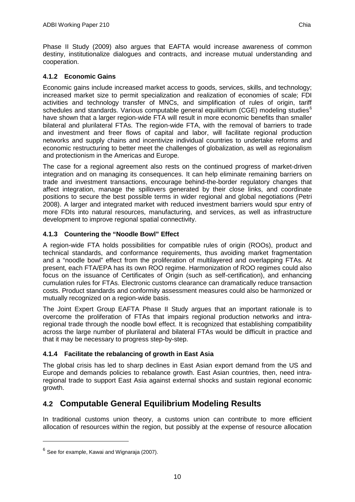Phase II Study (2009) also argues that EAFTA would increase awareness of common destiny, institutionalize dialogues and contracts, and increase mutual understanding and cooperation.

### **4.1.2 Economic Gains**

Economic gains include increased market access to goods, services, skills, and technology; increased market size to permit specialization and realization of economies of scale; FDI activities and technology transfer of MNCs, and simplification of rules of origin, tariff schedules and standards. Various computable general equilibrium (CGE) modeling studies<sup>[6](#page-18-1)</sup> have shown that a larger region-wide FTA will result in more economic benefits than smaller bilateral and plurilateral FTAs. The region-wide FTA, with the removal of barriers to trade and investment and freer flows of capital and labor, will facilitate regional production networks and supply chains and incentivize individual countries to undertake reforms and economic restructuring to better meet the challenges of globalization, as well as regionalism and protectionism in the Americas and Europe.

The case for a regional agreement also rests on the continued progress of market-driven integration and on managing its consequences. It can help eliminate remaining barriers on trade and investment transactions, encourage behind-the-border regulatory changes that affect integration, manage the spillovers generated by their close links, and coordinate positions to secure the best possible terms in wider regional and global negotiations (Petri 2008). A larger and integrated market with reduced investment barriers would spur entry of more FDIs into natural resources, manufacturing, and services, as well as infrastructure development to improve regional spatial connectivity.

### **4.1.3 Countering the "Noodle Bowl" Effect**

A region-wide FTA holds possibilities for compatible rules of origin (ROOs), product and technical standards, and conformance requirements, thus avoiding market fragmentation and a "noodle bowl" effect from the proliferation of multilayered and overlapping FTAs. At present, each FTA/EPA has its own ROO regime. Harmonization of ROO regimes could also focus on the issuance of Certificates of Origin (such as self-certification), and enhancing cumulation rules for FTAs. Electronic customs clearance can dramatically reduce transaction costs. Product standards and conformity assessment measures could also be harmonized or mutually recognized on a region-wide basis.

The Joint Expert Group EAFTA Phase II Study argues that an important rationale is to overcome the proliferation of FTAs that impairs regional production networks and intraregional trade through the noodle bowl effect. It is recognized that establishing compatibility across the large number of plurilateral and bilateral FTAs would be difficult in practice and that it may be necessary to progress step-by-step.

### **4.1.4 Facilitate the rebalancing of growth in East Asia**

The global crisis has led to sharp declines in East Asian export demand from the US and Europe and demands policies to rebalance growth. East Asian countries, then, need intraregional trade to support East Asia against external shocks and sustain regional economic growth.

## <span id="page-18-0"></span>**4.2 Computable General Equilibrium Modeling Results**

In traditional customs union theory, a customs union can contribute to more efficient allocation of resources within the region, but possibly at the expense of resource allocation

-

<span id="page-18-1"></span> $6$  See for example, Kawai and Wignaraja (2007).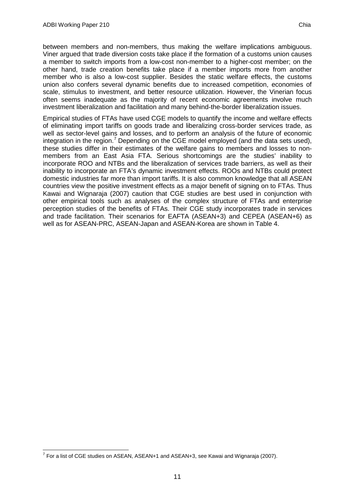between members and non-members, thus making the welfare implications ambiguous. Viner argued that trade diversion costs take place if the formation of a customs union causes a member to switch imports from a low-cost non-member to a higher-cost member; on the other hand, trade creation benefits take place if a member imports more from another member who is also a low-cost supplier. Besides the static welfare effects, the customs union also confers several dynamic benefits due to increased competition, economies of scale, stimulus to investment, and better resource utilization. However, the Vinerian focus often seems inadequate as the majority of recent economic agreements involve much investment liberalization and facilitation and many behind-the-border liberalization issues.

Empirical studies of FTAs have used CGE models to quantify the income and welfare effects of eliminating import tariffs on goods trade and liberalizing cross-border services trade, as well as sector-level gains and losses, and to perform an analysis of the future of economic integration in the region.<sup>[7](#page-19-0)</sup> Depending on the CGE model employed (and the data sets used), these studies differ in their estimates of the welfare gains to members and losses to nonmembers from an East Asia FTA. Serious shortcomings are the studies' inability to incorporate ROO and NTBs and the liberalization of services trade barriers, as well as their inability to incorporate an FTA's dynamic investment effects. ROOs and NTBs could protect domestic industries far more than import tariffs. It is also common knowledge that all ASEAN countries view the positive investment effects as a major benefit of signing on to FTAs. Thus Kawai and Wignaraja (2007) caution that CGE studies are best used in conjunction with other empirical tools such as analyses of the complex structure of FTAs and enterprise perception studies of the benefits of FTAs. Their CGE study incorporates trade in services and trade facilitation. Their scenarios for EAFTA (ASEAN+3) and CEPEA (ASEAN+6) as well as for ASEAN-PRC, ASEAN-Japan and ASEAN-Korea are shown in Table 4.

<span id="page-19-0"></span> <sup>7</sup> For a list of CGE studies on ASEAN, ASEAN+1 and ASEAN+3, see Kawai and Wignaraja (2007).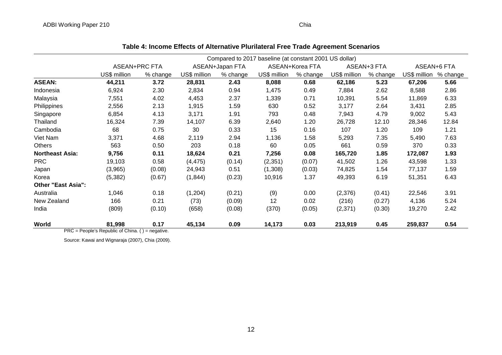|                                                |               |          |              |                 | Compared to 2017 baseline (at constant 2001 US dollar) |                 |              |             |                       |       |
|------------------------------------------------|---------------|----------|--------------|-----------------|--------------------------------------------------------|-----------------|--------------|-------------|-----------------------|-------|
|                                                | ASEAN+PRC FTA |          |              | ASEAN+Japan FTA |                                                        | ASEAN+Korea FTA |              | ASEAN+3 FTA | ASEAN+6 FTA           |       |
|                                                | US\$ million  | % change | US\$ million | % change        | US\$ million                                           | % change        | US\$ million | % change    | US\$ million % change |       |
| <b>ASEAN:</b>                                  | 44,211        | 3.72     | 28,831       | 2.43            | 8,088                                                  | 0.68            | 62,186       | 5.23        | 67,206                | 5.66  |
| Indonesia                                      | 6,924         | 2.30     | 2,834        | 0.94            | 1,475                                                  | 0.49            | 7,884        | 2.62        | 8,588                 | 2.86  |
| Malaysia                                       | 7,551         | 4.02     | 4,453        | 2.37            | 1,339                                                  | 0.71            | 10,391       | 5.54        | 11,869                | 6.33  |
| Philippines                                    | 2,556         | 2.13     | 1,915        | 1.59            | 630                                                    | 0.52            | 3,177        | 2.64        | 3,431                 | 2.85  |
| Singapore                                      | 6,854         | 4.13     | 3,171        | 1.91            | 793                                                    | 0.48            | 7,943        | 4.79        | 9,002                 | 5.43  |
| Thailand                                       | 16,324        | 7.39     | 14,107       | 6.39            | 2,640                                                  | 1.20            | 26,728       | 12.10       | 28,346                | 12.84 |
| Cambodia                                       | 68            | 0.75     | 30           | 0.33            | 15                                                     | 0.16            | 107          | 1.20        | 109                   | 1.21  |
| Viet Nam                                       | 3,371         | 4.68     | 2,119        | 2.94            | 1,136                                                  | 1.58            | 5,293        | 7.35        | 5,490                 | 7.63  |
| <b>Others</b>                                  | 563           | 0.50     | 203          | 0.18            | 60                                                     | 0.05            | 661          | 0.59        | 370                   | 0.33  |
| <b>Northeast Asia:</b>                         | 9,756         | 0.11     | 18,624       | 0.21            | 7,256                                                  | 0.08            | 165,720      | 1.85        | 172,087               | 1.93  |
| <b>PRC</b>                                     | 19,103        | 0.58     | (4, 475)     | (0.14)          | (2, 351)                                               | (0.07)          | 41,502       | 1.26        | 43,598                | 1.33  |
| Japan                                          | (3,965)       | (0.08)   | 24,943       | 0.51            | (1,308)                                                | (0.03)          | 74,825       | 1.54        | 77,137                | 1.59  |
| Korea                                          | (5, 382)      | (0.67)   | (1, 844)     | (0.23)          | 10,916                                                 | 1.37            | 49,393       | 6.19        | 51,351                | 6.43  |
| <b>Other "East Asia":</b>                      |               |          |              |                 |                                                        |                 |              |             |                       |       |
| Australia                                      | 1,046         | 0.18     | (1,204)      | (0.21)          | (9)                                                    | 0.00            | (2,376)      | (0.41)      | 22,546                | 3.91  |
| New Zealand                                    | 166           | 0.21     | (73)         | (0.09)          | 12                                                     | 0.02            | (216)        | (0.27)      | 4,136                 | 5.24  |
| India                                          | (809)         | (0.10)   | (658)        | (0.08)          | (370)                                                  | (0.05)          | (2, 371)     | (0.30)      | 19,270                | 2.42  |
| World<br><b><u><u>nno</u></u></b> <sub>n</sub> | 81,998        | 0.17     | 45,134       | 0.09            | 14,173                                                 | 0.03            | 213,919      | 0.45        | 259,837               | 0.54  |

PRC = People's Republic of China. () = negative.

Source: Kawai and Wignaraja (2007), Chia (2009).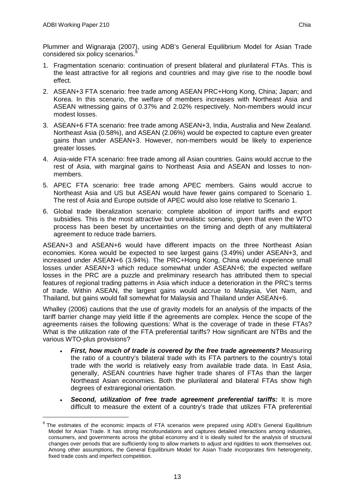Plummer and Wignaraja (2007), using ADB's General Equilibrium Model for Asian Trade considered six policy scenarios.

- 1. Fragmentation scenario: continuation of present bilateral and plurilateral FTAs. This is the least attractive for all regions and countries and may give rise to the noodle bowl effect.
- 2. ASEAN+3 FTA scenario: free trade among ASEAN PRC+Hong Kong, China; Japan; and Korea. In this scenario, the welfare of members increases with Northeast Asia and ASEAN witnessing gains of 0.37% and 2.02% respectively. Non-members would incur modest losses.
- 3. ASEAN+6 FTA scenario: free trade among ASEAN+3, India, Australia and New Zealand. Northeast Asia (0.58%), and ASEAN (2.06%) would be expected to capture even greater gains than under ASEAN+3. However, non-members would be likely to experience greater losses.
- 4. Asia-wide FTA scenario: free trade among all Asian countries. Gains would accrue to the rest of Asia, with marginal gains to Northeast Asia and ASEAN and losses to nonmembers.
- 5. APEC FTA scenario: free trade among APEC members. Gains would accrue to Northeast Asia and US but ASEAN would have fewer gains compared to Scenario 1. The rest of Asia and Europe outside of APEC would also lose relative to Scenario 1.
- 6. Global trade liberalization scenario: complete abolition of import tariffs and export subsidies. This is the most attractive but unrealistic scenario, given that even the WTO process has been beset by uncertainties on the timing and depth of any multilateral agreement to reduce trade barriers.

ASEAN+3 and ASEAN+6 would have different impacts on the three Northeast Asian economies. Korea would be expected to see largest gains (3.49%) under ASEAN+3, and increased under ASEAN+6 (3.94%). The PRC+Hong Kong, China would experience small losses under ASEAN+3 which reduce somewhat under ASEAN+6; the expected welfare losses in the PRC are a puzzle and preliminary research has attributed them to special features of regional trading patterns in Asia which induce a deterioration in the PRC's terms of trade. Within ASEAN, the largest gains would accrue to Malaysia, Viet Nam, and Thailand, but gains would fall somewhat for Malaysia and Thailand under ASEAN+6.

Whalley (2006) cautions that the use of gravity models for an analysis of the impacts of the tariff barrier change may yield little if the agreements are complex. Hence the scope of the agreements raises the following questions: What is the coverage of trade in these FTAs? What is the utilization rate of the FTA preferential tariffs? How significant are NTBs and the various WTO-plus provisions?

- *First, how much of trade is covered by the free trade agreements?* Measuring the ratio of a country's bilateral trade with its FTA partners to the country's total trade with the world is relatively easy from available trade data. In East Asia, generally, ASEAN countries have higher trade shares of FTAs than the larger Northeast Asian economies. Both the plurilateral and bilateral FTAs show high degrees of extraregional orientation.
- *Second, utilization of free trade agreement preferential tariffs:* It is more difficult to measure the extent of a country's trade that utilizes FTA preferential

<span id="page-21-0"></span><sup>&</sup>lt;sup>8</sup> The estimates of the economic impacts of FTA scenarios were prepared using ADB's General Equilibrium Model for Asian Trade. It has strong microfoundations and captures detailed interactions among industries, consumers, and governments across the global economy and it is ideally suited for the analysis of structural changes over periods that are sufficiently long to allow markets to adjust and rigidities to work themselves out. Among other assumptions, the General Equilibrium Model for Asian Trade incorporates firm heterogeneity, fixed trade costs and imperfect competition.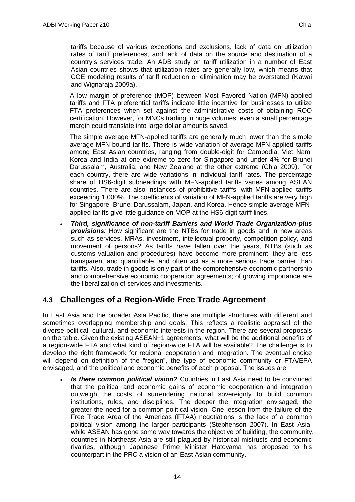tariffs because of various exceptions and exclusions, lack of data on utilization rates of tariff preferences, and lack of data on the source and destination of a country's services trade. An ADB study on tariff utilization in a number of East Asian countries shows that utilization rates are generally low, which means that CGE modeling results of tariff reduction or elimination may be overstated (Kawai and Wignaraja 2009a).

A low margin of preference (MOP) between Most Favored Nation (MFN)-applied tariffs and FTA preferential tariffs indicate little incentive for businesses to utilize FTA preferences when set against the administrative costs of obtaining ROO certification. However, for MNCs trading in huge volumes, even a small percentage margin could translate into large dollar amounts saved.

The simple average MFN-applied tariffs are generally much lower than the simple average MFN-bound tariffs. There is wide variation of average MFN-applied tariffs among East Asian countries, ranging from double-digit for Cambodia, Viet Nam, Korea and India at one extreme to zero for Singapore and under 4% for Brunei Darussalam, Australia, and New Zealand at the other extreme (Chia 2009). For each country, there are wide variations in individual tariff rates. The percentage share of HS6-digit subheadings with MFN-applied tariffs varies among ASEAN countries. There are also instances of prohibitive tariffs, with MFN-applied tariffs exceeding 1,000%. The coefficients of variation of MFN-applied tariffs are very high for Singapore, Brunei Darussalam, Japan, and Korea. Hence simple average MFNapplied tariffs give little guidance on MOP at the HS6-digit tariff lines.

• *Third, significance of non-tariff Barriers and World Trade Organization-plus provisions:* How significant are the NTBs for trade in goods and in new areas such as services, MRAs, investment, intellectual property, competition policy, and movement of persons? As tariffs have fallen over the years, NTBs (such as customs valuation and procedures) have become more prominent; they are less transparent and quantifiable, and often act as a more serious trade barrier than tariffs. Also, trade in goods is only part of the comprehensive economic partnership and comprehensive economic cooperation agreements; of growing importance are the liberalization of services and investments.

## <span id="page-22-0"></span>**4.3 Challenges of a Region-Wide Free Trade Agreement**

In East Asia and the broader Asia Pacific, there are multiple structures with different and sometimes overlapping membership and goals. This reflects a realistic appraisal of the diverse political, cultural, and economic interests in the region. There are several proposals on the table. Given the existing ASEAN+1 agreements, what will be the additional benefits of a region-wide FTA and what kind of region-wide FTA will be available? The challenge is to develop the right framework for regional cooperation and integration. The eventual choice will depend on definition of the "region", the type of economic community or FTA/EPA envisaged, and the political and economic benefits of each proposal. The issues are:

**Is there common political vision?** Countries in East Asia need to be convinced that the political and economic gains of economic cooperation and integration outweigh the costs of surrendering national sovereignty to build common institutions, rules, and disciplines. The deeper the integration envisaged, the greater the need for a common political vision. One lesson from the failure of the Free Trade Area of the Americas (FTAA) negotiations is the lack of a common political vision among the larger participants (Stephenson 2007). In East Asia, while ASEAN has gone some way towards the objective of building, the community, countries in Northeast Asia are still plagued by historical mistrusts and economic rivalries, although Japanese Prime Minister Hatoyama has proposed to his counterpart in the PRC a vision of an East Asian community.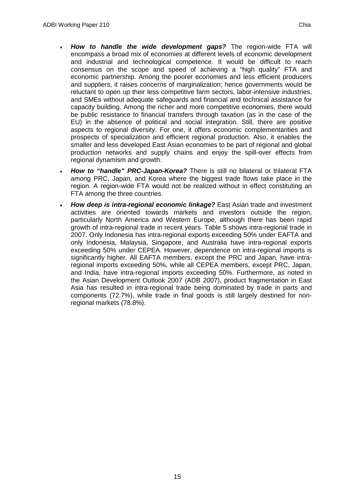- *How to handle the wide development gaps?* The region-wide FTA will encompass a broad mix of economies at different levels of economic development and industrial and technological competence. It would be difficult to reach consensus on the scope and speed of achieving a "high quality" FTA and economic partnership. Among the poorer economies and less efficient producers and suppliers, it raises concerns of marginalization; hence governments would be reluctant to open up their less competitive farm sectors, labor-intensive industries, and SMEs without adequate safeguards and financial and technical assistance for capacity building. Among the richer and more competitive economies, there would be public resistance to financial transfers through taxation (as in the case of the EU) in the absence of political and social integration. Still, there are positive aspects to regional diversity. For one, it offers economic complementarities and prospects of specialization and efficient regional production. Also, it enables the smaller and less developed East Asian economies to be part of regional and global production networks and supply chains and enjoy the spill-over effects from regional dynamism and growth.
- How to "handle" PRC-Japan-Korea? There is still no bilateral or trilateral FTA among PRC, Japan, and Korea where the biggest trade flows take place in the region. A region-wide FTA would not be realized without in effect constituting an FTA among the three countries.
- *How deep is intra-regional economic linkage?* East Asian trade and investment activities are oriented towards markets and investors outside the region, particularly North America and Western Europe, although there has been rapid growth of intra-regional trade in recent years. Table 5 shows intra-regional trade in 2007. Only Indonesia has intra-regional exports exceeding 50% under EAFTA and only Indonesia, Malaysia, Singapore, and Australia have intra-regional exports exceeding 50% under CEPEA. However, dependence on intra-regional imports is significantly higher. All EAFTA members, except the PRC and Japan, have intraregional imports exceeding 50%, while all CEPEA members, except PRC, Japan, and India, have intra-regional imports exceeding 50%. Furthermore, as noted in the Asian Development Outlook 2007 (ADB 2007), product fragmentation in East Asia has resulted in intra-regional trade being dominated by trade in parts and components (72.7%), while trade in final goods is still largely destined for nonregional markets (78.8%).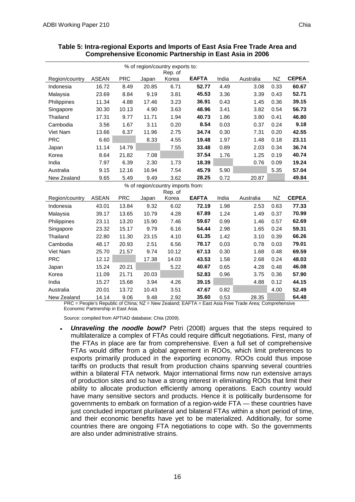| % of region/country exports to:<br>Rep. of |              |            |       |                                   |              |       |           |           |              |  |
|--------------------------------------------|--------------|------------|-------|-----------------------------------|--------------|-------|-----------|-----------|--------------|--|
| Region/country                             | <b>ASEAN</b> | <b>PRC</b> | Japan | Korea                             | <b>EAFTA</b> | India | Australia | <b>NZ</b> | <b>CEPEA</b> |  |
| Indonesia                                  | 16.72        | 8.49       | 20.85 | 6.71                              | 52.77        | 4.49  | 3.08      | 0.33      | 60.67        |  |
| Malaysia                                   | 23.69        | 8.84       | 9.19  | 3.81                              | 45.53        | 3.36  | 3.39      | 0.43      | 52.71        |  |
| Philippines                                | 11.34        | 4.88       | 17.46 | 3.23                              | 36.91        | 0.43  | 1.45      | 0.36      | 39.15        |  |
| Singapore                                  | 30.30        | 10.13      | 4.90  | 3.63                              | 48.96        | 3.41  | 3.82      | 0.54      | 56.73        |  |
| Thailand                                   | 17.31        | 9.77       | 11.71 | 1.94                              | 40.73        | 1.86  | 3.80      | 0.41      | 46.80        |  |
| Cambodia                                   | 3.56         | 1.67       | 3.11  | 0.20                              | 8.54         | 0.03  | 0.37      | 0.24      | 9.18         |  |
| Viet Nam                                   | 13.66        | 6.37       | 11.96 | 2.75                              | 34.74        | 0.30  | 7.31      | 0.20      | 42.55        |  |
| <b>PRC</b>                                 | 6.60         |            | 8.33  | 4.55                              | 19.48        | 1.97  | 1.48      | 0.18      | 23.11        |  |
| Japan                                      | 11.14        | 14.79      |       | 7.55                              | 33.48        | 0.89  | 2.03      | 0.34      | 36.74        |  |
| Korea                                      | 8.64         | 21.82      | 7.08  |                                   | 37.54        | 1.76  | 1.25      | 0.19      | 40.74        |  |
| India                                      | 7.97         | 6.39       | 2.30  | 1.73                              | 18.39        |       | 0.76      | 0.09      | 19.24        |  |
| Australia                                  | 9.15         | 12.16      | 16.94 | 7.54                              | 45.79        | 5.90  |           | 5.35      | 57.04        |  |
| New Zealand                                | 9.65         | 5.49       | 9.49  | 3.62                              | 28.25        | 0.72  | 20.87     |           | 49.84        |  |
|                                            |              |            |       | % of region/country imports from: |              |       |           |           |              |  |
|                                            |              |            |       | Rep. of                           |              |       |           |           |              |  |
| Region/country                             | <b>ASEAN</b> | <b>PRC</b> | Japan | Korea                             | <b>EAFTA</b> | India | Australia | NZ        | <b>CEPEA</b> |  |
| Indonesia                                  | 43.01        | 13.84      | 9.32  | 6.02                              | 72.19        | 1.98  | 2.53      | 0.63      | 77.33        |  |
| Malaysia                                   | 39.17        | 13.65      | 10.79 | 4.28                              | 67.89        | 1.24  | 1.49      | 0.37      | 70.99        |  |
| Philippines                                | 23.11        | 13.20      | 15.90 | 7.46                              | 59.67        | 0.99  | 1.46      | 0.57      | 62.69        |  |
| Singapore                                  | 23.32        | 15.17      | 9.79  | 6.16                              | 54.44        | 2.98  | 1.65      | 0.24      | 59.31        |  |
| Thailand                                   | 22.80        | 11.30      | 23.15 | 4.10                              | 61.35        | 1.42  | 3.10      | 0.39      | 66.26        |  |
| Cambodia                                   | 48.17        | 20.93      | 2.51  | 6.56                              | 78.17        | 0.03  | 0.78      | 0.03      | 79.01        |  |
| Viet Nam                                   | 25.70        | 21.57      | 9.74  | 10.12                             | 67.13        | 0.30  | 1.68      | 0.48      | 69.59        |  |
| <b>PRC</b>                                 | 12.12        |            | 17.38 | 14.03                             | 43.53        | 1.58  | 2.68      | 0.24      | 48.03        |  |
| Japan                                      | 15.24        | 20.21      |       | 5.22                              | 40.67        | 0.65  | 4.28      | 0.48      | 46.08        |  |
| Korea                                      | 11.09        | 21.71      | 20.03 |                                   | 52.83        | 0.96  | 3.75      | 0.36      | 57.90        |  |
| India                                      | 15.27        | 15.68      | 3.94  | 4.26                              | 39.15        |       | 4.88      | 0.12      | 44.15        |  |
| Australia                                  | 20.01        | 13.72      | 10.43 | 3.51                              | 47.67        | 0.82  |           | 4.00      | 52.49        |  |
| New Zealand                                | 14.14        | 9.06       | 9.48  | 2.92                              | 35.60        | 0.53  | 28.35     |           | 64.48        |  |

#### **Table 5: Intra-regional Exports and Imports of East Asia Free Trade Area and Comprehensive Economic Partnership in East Asia in 2006**

PRC = People's Republic of China; NZ = New Zealand; EAFTA = East Asia Free Trade Area; Comprehensive Economic Partnership in East Asia.

Source: compiled from APTIAD database; Chia (2009).

• *Unraveling the noodle bowl?* Petri (2008) argues that the steps required to multilateralize a complex of FTAs could require difficult negotiations. First, many of the FTAs in place are far from comprehensive. Even a full set of comprehensive FTAs would differ from a global agreement in ROOs, which limit preferences to exports primarily produced in the exporting economy. ROOs could thus impose tariffs on products that result from production chains spanning several countries within a bilateral FTA network. Major international firms now run extensive arrays of production sites and so have a strong interest in eliminating ROOs that limit their ability to allocate production efficiently among operations. Each country would have many sensitive sectors and products. Hence it is politically burdensome for governments to embark on formation of a region-wide FTA — these countries have just concluded important plurilateral and bilateral FTAs within a short period of time, and their economic benefits have yet to be materialized. Additionally, for some countries there are ongoing FTA negotiations to cope with. So the governments are also under administrative strains.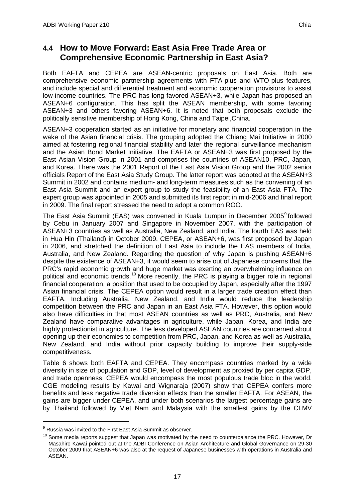## <span id="page-25-0"></span>**4.4 How to Move Forward: East Asia Free Trade Area or Comprehensive Economic Partnership in East Asia?**

Both EAFTA and CEPEA are ASEAN-centric proposals on East Asia. Both are comprehensive economic partnership agreements with FTA-plus and WTO-plus features, and include special and differential treatment and economic cooperation provisions to assist low-income countries. The PRC has long favored ASEAN+3, while Japan has proposed an ASEAN+6 configuration. This has split the ASEAN membership, with some favoring ASEAN+3 and others favoring ASEAN+6. It is noted that both proposals exclude the politically sensitive membership of Hong Kong, China and Taipei,China.

ASEAN+3 cooperation started as an initiative for monetary and financial cooperation in the wake of the Asian financial crisis. The grouping adopted the Chiang Mai Initiative in 2000 aimed at fostering regional financial stability and later the regional surveillance mechanism and the Asian Bond Market Initiative. The EAFTA or ASEAN+3 was first proposed by the East Asian Vision Group in 2001 and comprises the countries of ASEAN10, PRC, Japan, and Korea. There was the 2001 Report of the East Asia Vision Group and the 2002 senior officials Report of the East Asia Study Group. The latter report was adopted at the ASEAN+3 Summit in 2002 and contains medium- and long-term measures such as the convening of an East Asia Summit and an expert group to study the feasibility of an East Asia FTA. The expert group was appointed in 2005 and submitted its first report in mid-2006 and final report in 2009. The final report stressed the need to adopt a common ROO.

The East Asia Summit (EAS) was convened in Kuala Lumpur in December 2005<sup>[9](#page-25-1)</sup> followed by Cebu in January 2007 and Singapore in November 2007, with the participation of ASEAN+3 countries as well as Australia, New Zealand, and India. The fourth EAS was held in Hua Hin (Thailand) in October 2009. CEPEA, or ASEAN+6, was first proposed by Japan in 2006, and stretched the definition of East Asia to include the EAS members of India, Australia, and New Zealand. Regarding the question of why Japan is pushing ASEAN+6 despite the existence of ASEAN+3, it would seem to arise out of Japanese concerns that the PRC's rapid economic growth and huge market was exerting an overwhelming influence on political and economic trends.<sup>[10](#page-25-2)</sup> More recently, the PRC is playing a bigger role in regional financial cooperation, a position that used to be occupied by Japan, especially after the 1997 Asian financial crisis. The CEPEA option would result in a larger trade creation effect than EAFTA. Including Australia, New Zealand, and India would reduce the leadership competition between the PRC and Japan in an East Asia FTA. However, this option would also have difficulties in that most ASEAN countries as well as PRC, Australia, and New Zealand have comparative advantages in agriculture, while Japan, Korea, and India are highly protectionist in agriculture. The less developed ASEAN countries are concerned about opening up their economies to competition from PRC, Japan, and Korea as well as Australia, New Zealand, and India without prior capacity building to improve their supply-side competitiveness.

Table 6 shows both EAFTA and CEPEA. They encompass countries marked by a wide diversity in size of population and GDP, level of development as proxied by per capita GDP, and trade openness. CEPEA would encompass the most populous trade bloc in the world. CGE modeling results by Kawai and Wignaraja (2007) show that CEPEA confers more benefits and less negative trade diversion effects than the smaller EAFTA. For ASEAN, the gains are bigger under CEPEA, and under both scenarios the largest percentage gains are by Thailand followed by Viet Nam and Malaysia with the smallest gains by the CLMV

<span id="page-25-1"></span> $9$  Russia was invited to the First East Asia Summit as observer.

<span id="page-25-2"></span> $10$  Some media reports suggest that Japan was motivated by the need to counterbalance the PRC. However, Dr Masahiro Kawai pointed out at the ADBI Conference on Asian Architecture and Global Governance on 29-30 October 2009 that ASEAN+6 was also at the request of Japanese businesses with operations in Australia and ASEAN.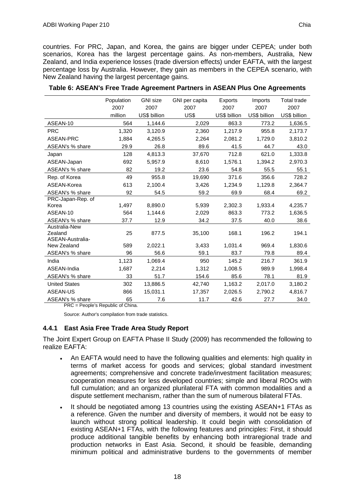countries. For PRC, Japan, and Korea, the gains are bigger under CEPEA; under both scenarios, Korea has the largest percentage gains. As non-members, Australia, New Zealand, and India experience losses (trade diversion effects) under EAFTA, with the largest percentage loss by Australia. However, they gain as members in the CEPEA scenario, with New Zealand having the largest percentage gains.

|                                              | Population | <b>GNI</b> size | GNI per capita | Exports      | Imports      | <b>Total trade</b> |
|----------------------------------------------|------------|-----------------|----------------|--------------|--------------|--------------------|
|                                              | 2007       | 2007            | 2007           | 2007         | 2007         | 2007               |
|                                              | million    | US\$ billion    | US\$           | US\$ billion | US\$ billion | US\$ billion       |
| ASEAN-10                                     | 564        | 1,144.6         | 2,029          | 863.3        | 773.2        | 1,636.5            |
| <b>PRC</b>                                   | 1,320      | 3,120.9         | 2,360          | 1,217.9      | 955.8        | 2,173.7            |
| ASEAN-PRC                                    | 1,884      | 4,265.5         | 2,264          | 2,081.2      | 1,729.0      | 3,810.2            |
| ASEAN's % share                              | 29.9       | 26.8            | 89.6           | 41.5         | 44.7         | 43.0               |
| Japan                                        | 128        | 4,813.3         | 37,670         | 712.8        | 621.0        | 1,333.8            |
| ASEAN-Japan                                  | 692        | 5,957.9         | 8,610          | 1,576.1      | 1,394.2      | 2,970.3            |
| ASEAN's % share                              | 82         | 19.2            | 23.6           | 54.8         | 55.5         | 55.1               |
| Rep. of Korea                                | 49         | 955.8           | 19,690         | 371.6        | 356.6        | 728.2              |
| ASEAN-Korea                                  | 613        | 2,100.4         | 3,426          | 1,234.9      | 1,129.8      | 2,364.7            |
| ASEAN's % share                              | 92         | 54.5            | 59.2           | 69.9         | 68.4         | 69.2               |
| PRC-Japan-Rep. of                            |            |                 |                |              |              |                    |
| Korea                                        | 1,497      | 8,890.0         | 5,939          | 2,302.3      | 1,933.4      | 4,235.7            |
| ASEAN-10                                     | 564        | 1,144.6         | 2,029          | 863.3        | 773.2        | 1,636.5            |
| ASEAN's % share                              | 37.7       | 12.9            | 34.2           | 37.5         | 40.0         | 38.6               |
| Australia-New<br>Zealand<br>ASEAN-Australia- | 25         | 877.5           | 35,100         | 168.1        | 196.2        | 194.1              |
| New Zealand                                  | 589        | 2,022.1         | 3,433          | 1,031.4      | 969.4        | 1,830.6            |
| ASEAN's % share                              | 96         | 56.6            | 59.1           | 83.7         | 79.8         | 89.4               |
| India                                        | 1,123      | 1,069.4         | 950            | 145.2        | 216.7        | 361.9              |
| ASEAN-India                                  | 1,687      | 2,214           | 1,312          | 1,008.5      | 989.9        | 1,998.4            |
| ASEAN's % share                              | 33         | 51.7            | 154.6          | 85.6         | 78.1         | 81.9               |
| <b>United States</b>                         | 302        | 13,886.5        | 42,740         | 1,163.2      | 2,017.0      | 3,180.2            |
| <b>ASEAN-US</b>                              | 866        | 15,031.1        | 17,357         | 2,026.5      | 2,790.2      | 4,816.7            |
| ASEAN's % share                              | 65         | 7.6             | 11.7           | 42.6         | 27.7         | 34.0               |

| Table 6: ASEAN's Free Trade Agreement Partners in ASEAN Plus One Agreements |  |  |  |
|-----------------------------------------------------------------------------|--|--|--|
|-----------------------------------------------------------------------------|--|--|--|

PRC = People's Republic of China.

Source: Author's compilation from trade statistics.

#### **4.4.1 East Asia Free Trade Area Study Report**

The Joint Expert Group on EAFTA Phase II Study (2009) has recommended the following to realize EAFTA:

- An EAFTA would need to have the following qualities and elements: high quality in terms of market access for goods and services; global standard investment agreements; comprehensive and concrete trade/investment facilitation measures; cooperation measures for less developed countries; simple and liberal ROOs with full cumulation; and an organized plurilateral FTA with common modalities and a dispute settlement mechanism, rather than the sum of numerous bilateral FTAs.
- It should be negotiated among 13 countries using the existing ASEAN+1 FTAs as a reference. Given the number and diversity of members, it would not be easy to launch without strong political leadership. It could begin with consolidation of existing ASEAN+1 FTAs, with the following features and principles: First, it should produce additional tangible benefits by enhancing both intraregional trade and production networks in East Asia. Second, it should be feasible, demanding minimum political and administrative burdens to the governments of member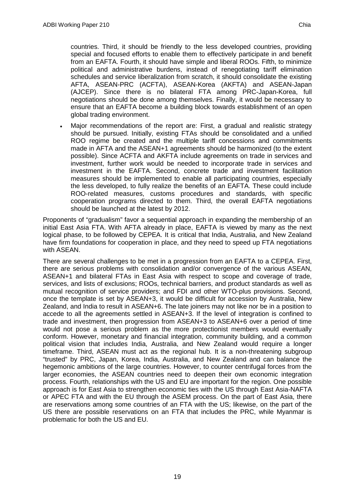countries. Third, it should be friendly to the less developed countries, providing special and focused efforts to enable them to effectively participate in and benefit from an EAFTA. Fourth, it should have simple and liberal ROOs. Fifth, to minimize political and administrative burdens, instead of renegotiating tariff elimination schedules and service liberalization from scratch, it should consolidate the existing AFTA, ASEAN-PRC (ACFTA), ASEAN-Korea (AKFTA) and ASEAN-Japan (AJCEP). Since there is no bilateral FTA among PRC-Japan-Korea, full negotiations should be done among themselves. Finally, it would be necessary to ensure that an EAFTA become a building block towards establishment of an open global trading environment.

Major recommendations of the report are: First, a gradual and realistic strategy should be pursued. Initially, existing FTAs should be consolidated and a unified ROO regime be created and the multiple tariff concessions and commitments made in AFTA and the ASEAN+1 agreements should be harmonized (to the extent possible). Since ACFTA and AKFTA include agreements on trade in services and investment, further work would be needed to incorporate trade in services and investment in the EAFTA. Second, concrete trade and investment facilitation measures should be implemented to enable all participating countries, especially the less developed, to fully realize the benefits of an EAFTA. These could include ROO-related measures, customs procedures and standards, with specific cooperation programs directed to them. Third, the overall EAFTA negotiations should be launched at the latest by 2012.

Proponents of "gradualism" favor a sequential approach in expanding the membership of an initial East Asia FTA. With AFTA already in place, EAFTA is viewed by many as the next logical phase, to be followed by CEPEA. It is critical that India, Australia, and New Zealand have firm foundations for cooperation in place, and they need to speed up FTA negotiations with ASEAN.

There are several challenges to be met in a progression from an EAFTA to a CEPEA. First, there are serious problems with consolidation and/or convergence of the various ASEAN, ASEAN+1 and bilateral FTAs in East Asia with respect to scope and coverage of trade, services, and lists of exclusions; ROOs, technical barriers, and product standards as well as mutual recognition of service providers; and FDI and other WTO-plus provisions. Second, once the template is set by ASEAN+3, it would be difficult for accession by Australia, New Zealand, and India to result in ASEAN+6. The late joiners may not like nor be in a position to accede to all the agreements settled in ASEAN+3. If the level of integration is confined to trade and investment, then progression from ASEAN+3 to ASEAN+6 over a period of time would not pose a serious problem as the more protectionist members would eventually conform. However, monetary and financial integration, community building, and a common political vision that includes India, Australia, and New Zealand would require a longer timeframe. Third, ASEAN must act as the regional hub. It is a non-threatening subgroup "trusted" by PRC, Japan, Korea, India, Australia, and New Zealand and can balance the hegemonic ambitions of the large countries. However, to counter centrifugal forces from the larger economies, the ASEAN countries need to deepen their own economic integration process. Fourth, relationships with the US and EU are important for the region. One possible approach is for East Asia to strengthen economic ties with the US through East Asia-NAFTA or APEC FTA and with the EU through the ASEM process. On the part of East Asia, there are reservations among some countries of an FTA with the US; likewise, on the part of the US there are possible reservations on an FTA that includes the PRC, while Myanmar is problematic for both the US and EU.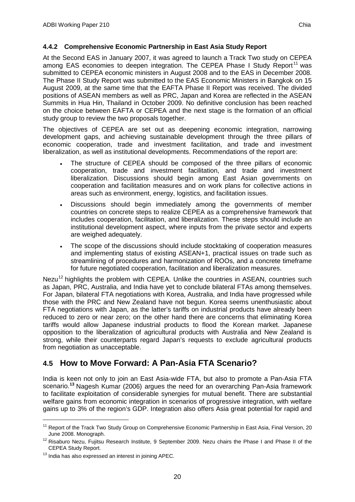#### **4.4.2 Comprehensive Economic Partnership in East Asia Study Report**

At the Second EAS in January 2007, it was agreed to launch a Track Two study on CEPEA among EAS economies to deepen integration. The CEPEA Phase I Study Report<sup>[11](#page-28-1)</sup> was submitted to CEPEA economic ministers in August 2008 and to the EAS in December 2008. The Phase II Study Report was submitted to the EAS Economic Ministers in Bangkok on 15 August 2009, at the same time that the EAFTA Phase II Report was received. The divided positions of ASEAN members as well as PRC, Japan and Korea are reflected in the ASEAN Summits in Hua Hin, Thailand in October 2009. No definitive conclusion has been reached on the choice between EAFTA or CEPEA and the next stage is the formation of an official study group to review the two proposals together.

The objectives of CEPEA are set out as deepening economic integration, narrowing development gaps, and achieving sustainable development through the three pillars of economic cooperation, trade and investment facilitation, and trade and investment liberalization, as well as institutional developments. Recommendations of the report are:

- The structure of CEPEA should be composed of the three pillars of economic cooperation, trade and investment facilitation, and trade and investment liberalization. Discussions should begin among East Asian governments on cooperation and facilitation measures and on work plans for collective actions in areas such as environment, energy, logistics, and facilitation issues.
- Discussions should begin immediately among the governments of member countries on concrete steps to realize CEPEA as a comprehensive framework that includes cooperation, facilitation, and liberalization. These steps should include an institutional development aspect, where inputs from the private sector and experts are weighed adequately.
- The scope of the discussions should include stocktaking of cooperation measures and implementing status of existing ASEAN+1, practical issues on trade such as streamlining of procedures and harmonization of ROOs, and a concrete timeframe for future negotiated cooperation, facilitation and liberalization measures.

Nezu<sup>[12](#page-28-2)</sup> highlights the problem with CEPEA. Unlike the countries in ASEAN, countries such as Japan, PRC, Australia, and India have yet to conclude bilateral FTAs among themselves. For Japan, bilateral FTA negotiations with Korea, Australia, and India have progressed while those with the PRC and New Zealand have not begun. Korea seems unenthusiastic about FTA negotiations with Japan, as the latter's tariffs on industrial products have already been reduced to zero or near zero; on the other hand there are concerns that eliminating Korea tariffs would allow Japanese industrial products to flood the Korean market. Japanese opposition to the liberalization of agricultural products with Australia and New Zealand is strong, while their counterparts regard Japan's requests to exclude agricultural products from negotiation as unacceptable.

## <span id="page-28-0"></span>**4.5 How to Move Forward: A Pan-Asia FTA Scenario?**

India is keen not only to join an East Asia-wide FTA, but also to promote a Pan-Asia FTA scenario.**[13](#page-28-3)** Nagesh Kumar (2006) argues the need for an overarching Pan-Asia framework to facilitate exploitation of considerable synergies for mutual benefit. There are substantial welfare gains from economic integration in scenarios of progressive integration, with welfare gains up to 3% of the region's GDP. Integration also offers Asia great potential for rapid and

<span id="page-28-1"></span><sup>&</sup>lt;sup>11</sup> Report of the Track Two Study Group on Comprehensive Economic Partnership in East Asia, Final Version, 20 June 2008. Monograph.

<span id="page-28-2"></span><sup>&</sup>lt;sup>12</sup> Risaburo Nezu, Fujitsu Research Institute, 9 September 2009. Nezu chairs the Phase I and Phase II of the CEPEA Study Report.

<span id="page-28-3"></span><sup>&</sup>lt;sup>13</sup> India has also expressed an interest in joining APEC.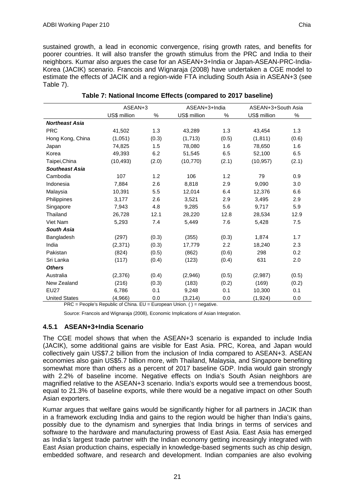sustained growth, a lead in economic convergence, rising growth rates, and benefits for poorer countries. It will also transfer the growth stimulus from the PRC and India to their neighbors. Kumar also argues the case for an ASEAN+3+India or Japan-ASEAN-PRC-India-Korea (JACIK) scenario. Francois and Wignaraja (2008) have undertaken a CGE model to estimate the effects of JACIK and a region-wide FTA including South Asia in ASEAN+3 (see Table 7).

|                       | ASEAN+3      |       | ASEAN+3+India |       | ASEAN+3+South Asia |       |
|-----------------------|--------------|-------|---------------|-------|--------------------|-------|
|                       | US\$ million | $\%$  | US\$ million  | $\%$  | US\$ million       | %     |
| <b>Northeast Asia</b> |              |       |               |       |                    |       |
| <b>PRC</b>            | 41,502       | 1.3   | 43,289        | 1.3   | 43,454             | 1.3   |
| Hong Kong, China      | (1,051)      | (0.3) | (1,713)       | (0.5) | (1, 811)           | (0.6) |
| Japan                 | 74,825       | 1.5   | 78,080        | 1.6   | 78,650             | 1.6   |
| Korea                 | 49,393       | 6.2   | 51,545        | 6.5   | 52,100             | 6.5   |
| Taipei, China         | (10, 493)    | (2.0) | (10, 770)     | (2.1) | (10, 957)          | (2.1) |
| <b>Southeast Asia</b> |              |       |               |       |                    |       |
| Cambodia              | 107          | 1.2   | 106           | 1.2   | 79                 | 0.9   |
| Indonesia             | 7,884        | 2.6   | 8,818         | 2.9   | 9,090              | 3.0   |
| Malaysia              | 10,391       | 5.5   | 12,014        | 6.4   | 12,376             | 6.6   |
| Philippines           | 3,177        | 2.6   | 3,521         | 2.9   | 3,495              | 2.9   |
| Singapore             | 7,943        | 4.8   | 9,285         | 5.6   | 9,717              | 5.9   |
| Thailand              | 26,728       | 12.1  | 28,220        | 12.8  | 28,534             | 12.9  |
| Viet Nam              | 5,293        | 7.4   | 5,449         | 7.6   | 5,428              | 7.5   |
| <b>South Asia</b>     |              |       |               |       |                    |       |
| Bangladesh            | (297)        | (0.3) | (355)         | (0.3) | 1,874              | 1.7   |
| India                 | (2,371)      | (0.3) | 17,779        | 2.2   | 18,240             | 2.3   |
| Pakistan              | (824)        | (0.5) | (862)         | (0.6) | 298                | 0.2   |
| Sri Lanka             | (117)        | (0.4) | (123)         | (0.4) | 631                | 2.0   |
| <b>Others</b>         |              |       |               |       |                    |       |
| Australia             | (2,376)      | (0.4) | (2,946)       | (0.5) | (2,987)            | (0.5) |
| New Zealand           | (216)        | (0.3) | (183)         | (0.2) | (169)              | (0.2) |
| <b>EU27</b>           | 6,786        | 0.1   | 9,248         | 0.1   | 10,300             | 0.1   |
| <b>United States</b>  | (4,966)      | 0.0   | (3,214)       | 0.0   | (1, 924)           | 0.0   |

**Table 7: National Income Effects (compared to 2017 baseline)**

 $PRC = People's Republic of China. EU = European Union. () = negative.$ 

Source: Francois and Wignaraja (2008), Economic Implications of Asian Integration.

#### **4.5.1 ASEAN+3+India Scenario**

The CGE model shows that when the ASEAN+3 scenario is expanded to include India (JACIK), some additional gains are visible for East Asia. PRC, Korea, and Japan would collectively gain US\$7.2 billion from the inclusion of India compared to ASEAN+3. ASEAN economies also gain US\$5.7 billion more, with Thailand, Malaysia, and Singapore benefiting somewhat more than others as a percent of 2017 baseline GDP. India would gain strongly with 2.2% of baseline income. Negative effects on India's South Asian neighbors are magnified relative to the ASEAN+3 scenario. India's exports would see a tremendous boost, equal to 21.3% of baseline exports, while there would be a negative impact on other South Asian exporters.

Kumar argues that welfare gains would be significantly higher for all partners in JACIK than in a framework excluding India and gains to the region would be higher than India's gains, possibly due to the dynamism and synergies that India brings in terms of services and software to the hardware and manufacturing prowess of East Asia. East Asia has emerged as India's largest trade partner with the Indian economy getting increasingly integrated with East Asian production chains, especially in knowledge-based segments such as chip design, embedded software, and research and development. Indian companies are also evolving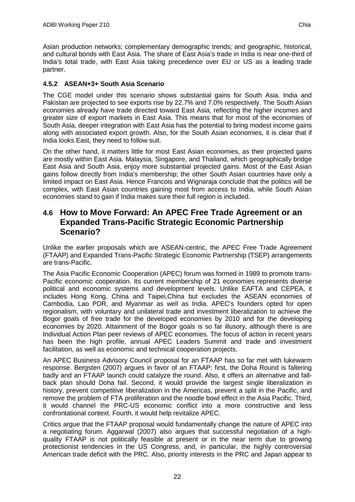Asian production networks; complementary demographic trends; and geographic, historical, and cultural bonds with East Asia. The share of East Asia's trade in India is near one-third of India's total trade, with East Asia taking precedence over EU or US as a leading trade partner.

### **4.5.2 ASEAN+3+ South Asia Scenario**

The CGE model under this scenario shows substantial gains for South Asia. India and Pakistan are projected to see exports rise by 22.7% and 7.0% respectively. The South Asian economies already have trade directed toward East Asia, reflecting the higher incomes and greater size of export markets in East Asia. This means that for most of the economies of South Asia, deeper integration with East Asia has the potential to bring modest income gains along with associated export growth. Also, for the South Asian economies, it is clear that if India looks East, they need to follow suit.

On the other hand, it matters little for most East Asian economies, as their projected gains are mostly within East Asia. Malaysia, Singapore, and Thailand, which geographically bridge East Asia and South Asia, enjoy more substantial projected gains. Most of the East Asian gains follow directly from India's membership; the other South Asian countries have only a limited impact on East Asia. Hence Francois and Wignaraja conclude that the politics will be complex, with East Asian countries gaining most from access to India, while South Asian economies stand to gain if India makes sure their full region is included.

## <span id="page-30-0"></span>**4.6 How to Move Forward: An APEC Free Trade Agreement or an Expanded Trans-Pacific Strategic Economic Partnership Scenario?**

Unlike the earlier proposals which are ASEAN-centric, the APEC Free Trade Agreement (FTAAP) and Expanded Trans-Pacific Strategic Economic Partnership (TSEP) arrangements are trans-Pacific.

The Asia Pacific Economic Cooperation (APEC) forum was formed in 1989 to promote trans-Pacific economic cooperation. Its current membership of 21 economies represents diverse political and economic systems and development levels. Unlike EAFTA and CEPEA, it includes Hong Kong, China and Taipei,China but excludes the ASEAN economies of Cambodia, Lao PDR, and Myanmar as well as India. APEC's founders opted for open regionalism, with voluntary and unilateral trade and investment liberalization to achieve the Bogor goals of free trade for the developed economies by 2010 and for the developing economies by 2020. Attainment of the Bogor goals is so far illusory, although there is are Individual Action Plan peer reviews of APEC economies. The focus of action in recent years has been the high profile, annual APEC Leaders Summit and trade and investment facilitation, as well as economic and technical cooperation projects.

An APEC Business Advisory Council proposal for an FTAAP has so far met with lukewarm response. Bergsten (2007) argues in favor of an FTAAP: first, the Doha Round is faltering badly and an FTAAP launch could catalyze the round. Also, it offers an alternative and fallback plan should Doha fail. Second, it would provide the largest single liberalization in history, prevent competitive liberalization in the Americas, prevent a split in the Pacific, and remove the problem of FTA proliferation and the noodle bowl effect in the Asia Pacific. Third, it would channel the PRC-US economic conflict into a more constructive and less confrontational context. Fourth, it would help revitalize APEC.

Critics argue that the FTAAP proposal would fundamentally change the nature of APEC into a negotiating forum. Aggarwal (2007) also argues that successful negotiation of a highquality FTAAP is not politically feasible at present or in the near term due to growing protectionist tendencies in the US Congress, and, in particular, the highly controversial American trade deficit with the PRC. Also, priority interests in the PRC and Japan appear to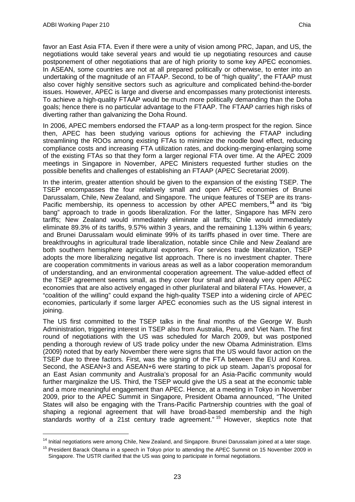favor an East Asia FTA. Even if there were a unity of vision among PRC, Japan, and US, the negotiations would take several years and would tie up negotiating resources and cause postponement of other negotiations that are of high priority to some key APEC economies. In ASEAN, some countries are not at all prepared politically or otherwise, to enter into an undertaking of the magnitude of an FTAAP. Second, to be of "high quality", the FTAAP must also cover highly sensitive sectors such as agriculture and complicated behind-the-border issues. However, APEC is large and diverse and encompasses many protectionist interests. To achieve a high-quality FTAAP would be much more politically demanding than the Doha goals; hence there is no particular advantage to the FTAAP. The FTAAP carries high risks of diverting rather than galvanizing the Doha Round.

In 2006, APEC members endorsed the FTAAP as a long-term prospect for the region. Since then, APEC has been studying various options for achieving the FTAAP including streamlining the ROOs among existing FTAs to minimize the noodle bowl effect, reducing compliance costs and increasing FTA utilization rates, and docking-merging-enlarging some of the existing FTAs so that they form a larger regional FTA over time. At the APEC 2009 meetings in Singapore in November, APEC Ministers requested further studies on the possible benefits and challenges of establishing an FTAAP (APEC Secretariat 2009).

In the interim, greater attention should be given to the expansion of the existing TSEP. The TSEP encompasses the four relatively small and open APEC economies of Brunei Darussalam, Chile, New Zealand, and Singapore. The unique features of TSEP are its trans-Pacific membership, its openness to accession by other APEC members,<sup>[14](#page-31-0)</sup> and its "big bang" approach to trade in goods liberalization. For the latter, Singapore has MFN zero tariffs; New Zealand would immediately eliminate all tariffs; Chile would immediately eliminate 89.3% of its tariffs, 9.57% within 3 years, and the remaining 1.13% within 6 years; and Brunei Darussalam would eliminate 99% of its tariffs phased in over time. There are breakthroughs in agricultural trade liberalization, notable since Chile and New Zealand are both southern hemisphere agricultural exporters. For services trade liberalization, TSEP adopts the more liberalizing negative list approach. There is no investment chapter. There are cooperation commitments in various areas as well as a labor cooperation memorandum of understanding, and an environmental cooperation agreement. The value-added effect of the TSEP agreement seems small, as they cover four small and already very open APEC economies that are also actively engaged in other plurilateral and bilateral FTAs. However, a "coalition of the willing" could expand the high-quality TSEP into a widening circle of APEC economies, particularly if some larger APEC economies such as the US signal interest in joining.

The US first committed to the TSEP talks in the final months of the George W. Bush Administration, triggering interest in TSEP also from Australia, Peru, and Viet Nam. The first round of negotiations with the US was scheduled for March 2009, but was postponed pending a thorough review of US trade policy under the new Obama Administration. Elms (2009) noted that by early November there were signs that the US would favor action on the TSEP due to three factors. First, was the signing of the FTA between the EU and Korea. Second, the ASEAN+3 and ASEAN+6 were starting to pick up steam. Japan's proposal for an East Asian community and Australia's proposal for an Asia-Pacific community would further marginalize the US. Third, the TSEP would give the US a seat at the economic table and a more meaningful engagement than APEC. Hence, at a meeting in Tokyo in November 2009, prior to the APEC Summit in Singapore, President Obama announced, "The United States will also be engaging with the Trans-Pacific Partnership countries with the goal of shaping a regional agreement that will have broad-based membership and the high standards worthy of a 21st century trade agreement."<sup>[15](#page-31-1)</sup> However, skeptics note that

<span id="page-31-0"></span><sup>&</sup>lt;sup>14</sup> Initial negotiations were among Chile, New Zealand, and Singapore. Brunei Darussalam joined at a later stage.

<span id="page-31-1"></span><sup>&</sup>lt;sup>15</sup> President Barack Obama in a speech in Tokyo prior to attending the APEC Summit on 15 November 2009 in Singapore. The USTR clarified that the US was going to participate in formal negotiations.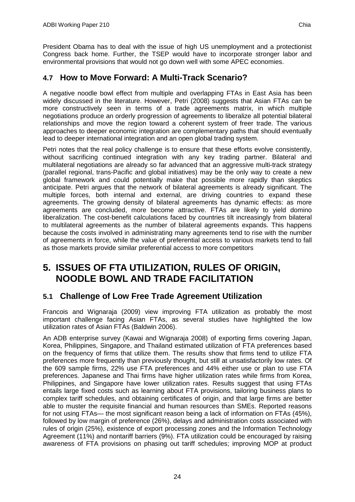President Obama has to deal with the issue of high US unemployment and a protectionist Congress back home. Further, the TSEP would have to incorporate stronger labor and environmental provisions that would not go down well with some APEC economies.

## <span id="page-32-0"></span>**4.7 How to Move Forward: A Multi-Track Scenario?**

A negative noodle bowl effect from multiple and overlapping FTAs in East Asia has been widely discussed in the literature. However, Petri (2008) suggests that Asian FTAs can be more constructively seen in terms of a trade agreements matrix, in which multiple negotiations produce an orderly progression of agreements to liberalize all potential bilateral relationships and move the region toward a coherent system of freer trade. The various approaches to deeper economic integration are complementary paths that should eventually lead to deeper international integration and an open global trading system.

Petri notes that the real policy challenge is to ensure that these efforts evolve consistently, without sacrificing continued integration with any key trading partner. Bilateral and multilateral negotiations are already so far advanced that an aggressive multi-track strategy (parallel regional, trans-Pacific and global initiatives) may be the only way to create a new global framework and could potentially make that possible more rapidly than skeptics anticipate. Petri argues that the network of bilateral agreements is already significant. The multiple forces, both internal and external, are driving countries to expand these agreements. The growing density of bilateral agreements has dynamic effects: as more agreements are concluded, more become attractive. FTAs are likely to yield domino liberalization. The cost-benefit calculations faced by countries tilt increasingly from bilateral to multilateral agreements as the number of bilateral agreements expands. This happens because the costs involved in administrating many agreements tend to rise with the number of agreements in force, while the value of preferential access to various markets tend to fall as those markets provide similar preferential access to more competitors

# <span id="page-32-1"></span>**5. ISSUES OF FTA UTILIZATION, RULES OF ORIGIN, NOODLE BOWL AND TRADE FACILITATION**

## <span id="page-32-2"></span>**5.1 Challenge of Low Free Trade Agreement Utilization**

Francois and Wignaraja (2009) view improving FTA utilization as probably the most important challenge facing Asian FTAs, as several studies have highlighted the low utilization rates of Asian FTAs (Baldwin 2006).

An ADB enterprise survey (Kawai and Wignaraja 2008) of exporting firms covering Japan, Korea, Philippines, Singapore, and Thailand estimated utilization of FTA preferences based on the frequency of firms that utilize them. The results show that firms tend to utilize FTA preferences more frequently than previously thought, but still at unsatisfactorily low rates. Of the 609 sample firms, 22% use FTA preferences and 44% either use or plan to use FTA preferences. Japanese and Thai firms have higher utilization rates while firms from Korea, Philippines, and Singapore have lower utilization rates. Results suggest that using FTAs entails large fixed costs such as learning about FTA provisions, tailoring business plans to complex tariff schedules, and obtaining certificates of origin, and that large firms are better able to muster the requisite financial and human resources than SMEs. Reported reasons for not using FTAs— the most significant reason being a lack of information on FTAs (45%), followed by low margin of preference (26%), delays and administration costs associated with rules of origin (25%), existence of export processing zones and the Information Technology Agreement (11%) and nontariff barriers (9%). FTA utilization could be encouraged by raising awareness of FTA provisions on phasing out tariff schedules; improving MOP at product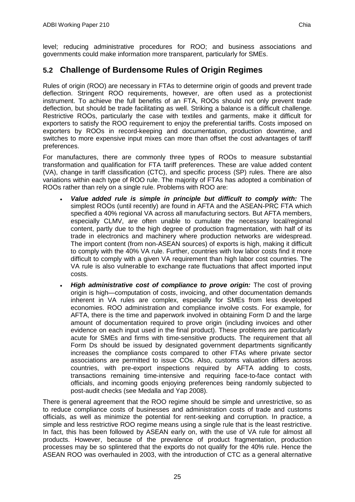level; reducing administrative procedures for ROO; and business associations and governments could make information more transparent, particularly for SMEs.

## <span id="page-33-0"></span>**5.2 Challenge of Burdensome Rules of Origin Regimes**

Rules of origin (ROO) are necessary in FTAs to determine origin of goods and prevent trade deflection. Stringent ROO requirements, however, are often used as a protectionist instrument. To achieve the full benefits of an FTA, ROOs should not only prevent trade deflection, but should be trade facilitating as well. Striking a balance is a difficult challenge. Restrictive ROOs, particularly the case with textiles and garments, make it difficult for exporters to satisfy the ROO requirement to enjoy the preferential tariffs. Costs imposed on exporters by ROOs in record-keeping and documentation, production downtime, and switches to more expensive input mixes can more than offset the cost advantages of tariff preferences.

For manufactures, there are commonly three types of ROOs to measure substantial transformation and qualification for FTA tariff preferences. These are value added content (VA), change in tariff classification (CTC), and specific process (SP) rules. There are also variations within each type of ROO rule. The majority of FTAs has adopted a combination of ROOs rather than rely on a single rule. Problems with ROO are:

- *Value added rule is simple in principle but difficult to comply with:* The simplest ROOs (until recently) are found in AFTA and the ASEAN-PRC FTA which specified a 40% regional VA across all manufacturing sectors. But AFTA members, especially CLMV, are often unable to cumulate the necessary local/regional content, partly due to the high degree of production fragmentation, with half of its trade in electronics and machinery where production networks are widespread. The import content (from non-ASEAN sources) of exports is high, making it difficult to comply with the 40% VA rule. Further, countries with low labor costs find it more difficult to comply with a given VA requirement than high labor cost countries. The VA rule is also vulnerable to exchange rate fluctuations that affect imported input costs.
- *High administrative cost of compliance to prove origin:* The cost of proving origin is high—computation of costs, invoicing, and other documentation demands inherent in VA rules are complex, especially for SMEs from less developed economies. ROO administration and compliance involve costs. For example, for AFTA, there is the time and paperwork involved in obtaining Form D and the large amount of documentation required to prove origin (including invoices and other evidence on each input used in the final product). These problems are particularly acute for SMEs and firms with time-sensitive products. The requirement that all Form Ds should be issued by designated government departments significantly increases the compliance costs compared to other FTAs where private sector associations are permitted to issue COs. Also, customs valuation differs across countries, with pre-export inspections required by AFTA adding to costs, transactions remaining time-intensive and requiring face-to-face contact with officials, and incoming goods enjoying preferences being randomly subjected to post-audit checks (see Medalla and Yap 2008).

There is general agreement that the ROO regime should be simple and unrestrictive, so as to reduce compliance costs of businesses and administration costs of trade and customs officials, as well as minimize the potential for rent-seeking and corruption. In practice, a simple and less restrictive ROO regime means using a single rule that is the least restrictive. In fact, this has been followed by ASEAN early on, with the use of VA rule for almost all products. However, because of the prevalence of product fragmentation, production processes may be so splintered that the exports do not qualify for the 40% rule. Hence the ASEAN ROO was overhauled in 2003, with the introduction of CTC as a general alternative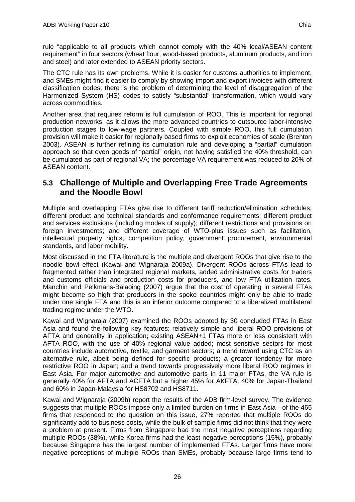The CTC rule has its own problems. While it is easier for customs authorities to implement, and SMEs might find it easier to comply by showing import and export invoices with different classification codes, there is the problem of determining the level of disaggregation of the Harmonized System (HS) codes to satisfy "substantial" transformation, which would vary across commodities.

Another area that requires reform is full cumulation of ROO. This is important for regional production networks, as it allows the more advanced countries to outsource labor-intensive production stages to low-wage partners. Coupled with simple ROO, this full cumulation provision will make it easier for regionally based firms to exploit economies of scale (Brenton 2003). ASEAN is further refining its cumulation rule and developing a "partial" cumulation approach so that even goods of "partial" origin, not having satisfied the 40% threshold, can be cumulated as part of regional VA; the percentage VA requirement was reduced to 20% of ASEAN content.

## <span id="page-34-0"></span>**5.3 Challenge of Multiple and Overlapping Free Trade Agreements and the Noodle Bowl**

Multiple and overlapping FTAs give rise to different tariff reduction/elimination schedules; different product and technical standards and conformance requirements; different product and services exclusions (including modes of supply); different restrictions and provisions on foreign investments; and different coverage of WTO-plus issues such as facilitation, intellectual property rights, competition policy, government procurement, environmental standards, and labor mobility.

Most discussed in the FTA literature is the multiple and divergent ROOs that give rise to the noodle bowl effect (Kawai and Wignaraja 2009a). Divergent ROOs across FTAs lead to fragmented rather than integrated regional markets, added administrative costs for traders and customs officials and production costs for producers, and low FTA utilization rates. Manchin and Pelkmans-Balaoing (2007) argue that the cost of operating in several FTAs might become so high that producers in the spoke countries might only be able to trade under one single FTA and this is an inferior outcome compared to a liberalized multilateral trading regime under the WTO.

Kawai and Wignaraja (2007) examined the ROOs adopted by 30 concluded FTAs in East Asia and found the following key features: relatively simple and liberal ROO provisions of AFTA and generality in application; existing ASEAN+1 FTAs more or less consistent with AFTA ROO, with the use of 40% regional value added; most sensitive sectors for most countries include automotive, textile, and garment sectors; a trend toward using CTC as an alternative rule, albeit being defined for specific products; a greater tendency for more restrictive ROO in Japan; and a trend towards progressively more liberal ROO regimes in East Asia. For major automotive and automotive parts in 11 major FTAs, the VA rule is generally 40% for AFTA and ACFTA but a higher 45% for AKFTA, 40% for Japan-Thailand and 60% in Japan-Malaysia for HS8702 and HS8711.

Kawai and Wignaraja (2009b) report the results of the ADB firm-level survey. The evidence suggests that multiple ROOs impose only a limited burden on firms in East Asia—of the 465 firms that responded to the question on this issue, 27% reported that multiple ROOs do significantly add to business costs, while the bulk of sample firms did not think that they were a problem at present. Firms from Singapore had the most negative perceptions regarding multiple ROOs (38%), while Korea firms had the least negative perceptions (15%), probably because Singapore has the largest number of implemented FTAs. Larger firms have more negative perceptions of multiple ROOs than SMEs, probably because large firms tend to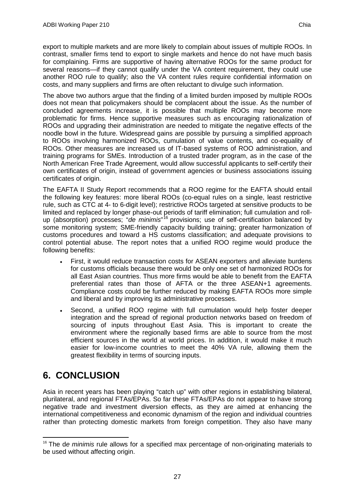export to multiple markets and are more likely to complain about issues of multiple ROOs. In contrast, smaller firms tend to export to single markets and hence do not have much basis for complaining. Firms are supportive of having alternative ROOs for the same product for several reasons—if they cannot qualify under the VA content requirement, they could use another ROO rule to qualify; also the VA content rules require confidential information on costs, and many suppliers and firms are often reluctant to divulge such information.

The above two authors argue that the finding of a limited burden imposed by multiple ROOs does not mean that policymakers should be complacent about the issue. As the number of concluded agreements increase, it is possible that multiple ROOs may become more problematic for firms. Hence supportive measures such as encouraging rationalization of ROOs and upgrading their administration are needed to mitigate the negative effects of the noodle bowl in the future. Widespread gains are possible by pursuing a simplified approach to ROOs involving harmonized ROOs, cumulation of value contents, and co-equality of ROOs. Other measures are increased us of IT-based systems of ROO administration, and training programs for SMEs. Introduction of a trusted trader program, as in the case of the North American Free Trade Agreement, would allow successful applicants to self-certify their own certificates of origin, instead of government agencies or business associations issuing certificates of origin.

The EAFTA II Study Report recommends that a ROO regime for the EAFTA should entail the following key features: more liberal ROOs (co-equal rules on a single, least restrictive rule, such as CTC at 4- to 6-digit level); restrictive ROOs targeted at sensitive products to be limited and replaced by longer phase-out periods of tariff elimination; full cumulation and rollup (absorption) processes; "*de minimis*" [16](#page-35-1) provisions; use of self-certification balanced by some monitoring system; SME-friendly capacity building training; greater harmonization of customs procedures and toward a HS customs classification; and adequate provisions to control potential abuse. The report notes that a unified ROO regime would produce the following benefits:

- First, it would reduce transaction costs for ASEAN exporters and alleviate burdens for customs officials because there would be only one set of harmonized ROOs for all East Asian countries. Thus more firms would be able to benefit from the EAFTA preferential rates than those of AFTA or the three ASEAN+1 agreements. Compliance costs could be further reduced by making EAFTA ROOs more simple and liberal and by improving its administrative processes.
- Second, a unified ROO regime with full cumulation would help foster deeper integration and the spread of regional production networks based on freedom of sourcing of inputs throughout East Asia. This is important to create the environment where the regionally based firms are able to source from the most efficient sources in the world at world prices. In addition, it would make it much easier for low-income countries to meet the 40% VA rule, allowing them the greatest flexibility in terms of sourcing inputs.

# <span id="page-35-0"></span>**6. CONCLUSION**

Asia in recent years has been playing "catch up" with other regions in establishing bilateral, plurilateral, and regional FTAs/EPAs. So far these FTAs/EPAs do not appear to have strong negative trade and investment diversion effects, as they are aimed at enhancing the international competitiveness and economic dynamism of the region and individual countries rather than protecting domestic markets from foreign competition. They also have many

<span id="page-35-1"></span><sup>&</sup>lt;sup>16</sup> The de minimis rule allows for a specified max percentage of non-originating materials to be used without affecting origin.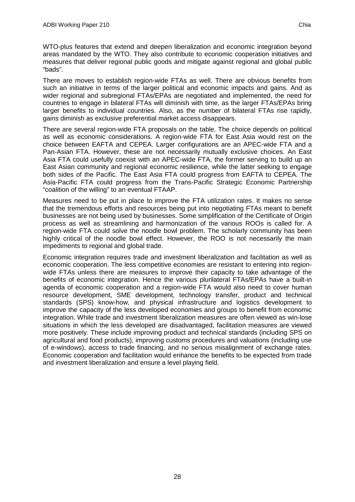WTO-plus features that extend and deepen liberalization and economic integration beyond areas mandated by the WTO. They also contribute to economic cooperation initiatives and measures that deliver regional public goods and mitigate against regional and global public "bads".

There are moves to establish region-wide FTAs as well. There are obvious benefits from such an initiative in terms of the larger political and economic impacts and gains. And as wider regional and subregional FTAs/EPAs are negotiated and implemented, the need for countries to engage in bilateral FTAs will diminish with time, as the larger FTAs/EPAs bring larger benefits to individual countries. Also, as the number of bilateral FTAs rise rapidly, gains diminish as exclusive preferential market access disappears.

There are several region-wide FTA proposals on the table. The choice depends on political as well as economic considerations. A region-wide FTA for East Asia would rest on the choice between EAFTA and CEPEA. Larger configurations are an APEC-wide FTA and a Pan-Asian FTA. However, these are not necessarily mutually exclusive choices. An East Asia FTA could usefully coexist with an APEC-wide FTA, the former serving to build up an East Asian community and regional economic resilience, while the latter seeking to engage both sides of the Pacific. The East Asia FTA could progress from EAFTA to CEPEA. The Asia-Pacific FTA could progress from the Trans-Pacific Strategic Economic Partnership "coalition of the willing" to an eventual FTAAP.

Measures need to be put in place to improve the FTA utilization rates. It makes no sense that the tremendous efforts and resources being put into negotiating FTAs meant to benefit businesses are not being used by businesses. Some simplification of the Certificate of Origin process as well as streamlining and harmonization of the various ROOs is called for. A region-wide FTA could solve the noodle bowl problem. The scholarly community has been highly critical of the noodle bowl effect. However, the ROO is not necessarily the main impediments to regional and global trade.

Economic integration requires trade and investment liberalization and facilitation as well as economic cooperation. The less competitive economies are resistant to entering into regionwide FTAs unless there are measures to improve their capacity to take advantage of the benefits of economic integration. Hence the various plurilateral FTAs/EPAs have a built-in agenda of economic cooperation and a region-wide FTA would also need to cover human resource development, SME development, technology transfer, product and technical standards (SPS) know-how, and physical infrastructure and logistics development to improve the capacity of the less developed economies and groups to benefit from economic integration. While trade and investment liberalization measures are often viewed as win-lose situations in which the less developed are disadvantaged, facilitation measures are viewed more positively. These include improving product and technical standards (including SPS on agricultural and food products), improving customs procedures and valuations (including use of e-windows), access to trade financing, and no serious misalignment of exchange rates. Economic cooperation and facilitation would enhance the benefits to be expected from trade and investment liberalization and ensure a level playing field.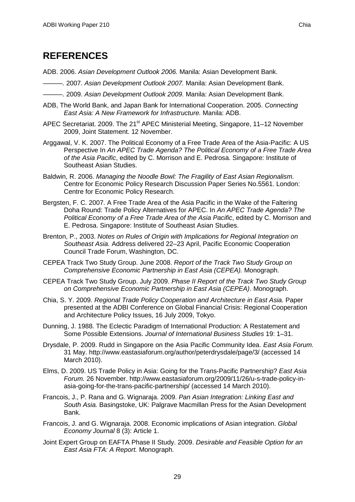# <span id="page-37-0"></span>**REFERENCES**

- ADB. 2006. *Asian Development Outlook 2006.* Manila: Asian Development Bank.
- ———. 2007. *Asian Development Outlook 2007.* Manila: Asian Development Bank.
- ———. 2009. *Asian Development Outlook 2009.* Manila: Asian Development Bank.
- ADB, The World Bank, and Japan Bank for International Cooperation. 2005. *Connecting East Asia: A New Framework for Infrastructure.* Manila: ADB.
- APEC Secretariat. 2009. The 21<sup>st</sup> APEC Ministerial Meeting, Singapore, 11–12 November 2009, Joint Statement. 12 November.
- Arggawal, V. K. 2007. The Political Economy of a Free Trade Area of the Asia-Pacific: A US Perspective In *An APEC Trade Agenda? The Political Economy of a Free Trade Area of the Asia Pacific*, edited by C. Morrison and E. Pedrosa. Singapore: Institute of Southeast Asian Studies.
- Baldwin, R. 2006. *Managing the Noodle Bowl: The Fragility of East Asian Regionalism.*  Centre for Economic Policy Research Discussion Paper Series No.5561. London: Centre for Economic Policy Research.
- Bergsten, F. C. 2007. A Free Trade Area of the Asia Pacific in the Wake of the Faltering Doha Round: Trade Policy Alternatives for APEC. In *An APEC Trade Agenda? The Political Economy of a Free Trade Area of the Asia Pacific*, edited by C. Morrison and E. Pedrosa. Singapore: Institute of Southeast Asian Studies.
- Brenton, P., 2003. *Notes on Rules of Origin with Implications for Regional Integration on Southeast Asia.* Address delivered 22–23 April, Pacific Economic Cooperation Council Trade Forum, Washington, DC.
- CEPEA Track Two Study Group. June 2008. *Report of the Track Two Study Group on Comprehensive Economic Partnership in East Asia (CEPEA).* Monograph.
- CEPEA Track Two Study Group. July 2009. *Phase II Report of the Track Two Study Group on Comprehensive Economic Partnership in East Asia (CEPEA)*. Monograph.
- Chia, S. Y. 2009. *Regional Trade Policy Cooperation and Architecture in East Asia.* Paper presented at the ADBI Conference on Global Financial Crisis: Regional Cooperation and Architecture Policy Issues, 16 July 2009, Tokyo.
- Dunning, J. 1988. The Eclectic Paradigm of International Production: A Restatement and Some Possible Extensions. *Journal of International Business Studies* 19: 1–31.
- Drysdale, P. 2009. Rudd in Singapore on the Asia Pacific Community Idea. *East Asia Forum.*  31 May. http://www.eastasiaforum.org/author/peterdrysdale/page/3/ (accessed 14 March 2010).
- Elms, D. 2009. US Trade Policy in Asia: Going for the Trans-Pacific Partnership? *East Asia Forum.* 26 November. http://www.eastasiaforum.org/2009/11/26/u-s-trade-policy-inasia-going-for-the-trans-pacific-partnership/ (accessed 14 March 2010).
- Francois, J., P. Rana and G. Wignaraja. 2009. *Pan Asian Integration: Linking East and South Asia.* Basingstoke, UK: Palgrave Macmillan Press for the Asian Development Bank.
- Francois, J. and G. Wignaraja. 2008. Economic implications of Asian integration. *Global Economy Journal* 8 (3): Article 1.
- Joint Expert Group on EAFTA Phase II Study. 2009. *Desirable and Feasible Option for an East Asia FTA: A Report.* Monograph.